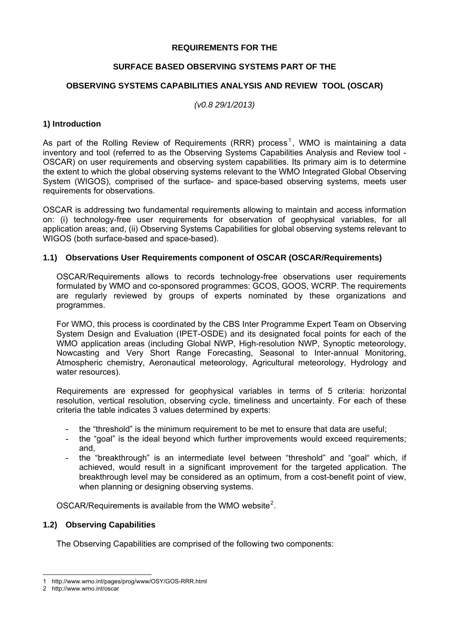#### **REQUIREMENTS FOR THE**

#### **SURFACE BASED OBSERVING SYSTEMS PART OF THE**

#### **OBSERVING SYSTEMS CAPABILITIES ANALYSIS AND REVIEW TOOL (OSCAR)**

*(v0.8 29/1/2013)* 

#### **1) Introduction**

As part of the Rolling Review of Requirements (RRR) process<sup>[1](#page-0-0)</sup>, WMO is maintaining a data inventory and tool (referred to as the Observing Systems Capabilities Analysis and Review tool - OSCAR) on user requirements and observing system capabilities. Its primary aim is to determine the extent to which the global observing systems relevant to the WMO Integrated Global Observing System (WIGOS), comprised of the surface- and space-based observing systems, meets user requirements for observations.

OSCAR is addressing two fundamental requirements allowing to maintain and access information on: (i) technology-free user requirements for observation of geophysical variables, for all application areas; and, (ii) Observing Systems Capabilities for global observing systems relevant to WIGOS (both surface-based and space-based).

#### **1.1) Observations User Requirements component of OSCAR (OSCAR/Requirements)**

OSCAR/Requirements allows to records technology-free observations user requirements formulated by WMO and co-sponsored programmes: GCOS, GOOS, WCRP. The requirements are regularly reviewed by groups of experts nominated by these organizations and programmes.

For WMO, this process is coordinated by the CBS Inter Programme Expert Team on Observing System Design and Evaluation (IPET-OSDE) and its designated focal points for each of the WMO application areas (including Global NWP, High-resolution NWP, Synoptic meteorology, Nowcasting and Very Short Range Forecasting, Seasonal to Inter-annual Monitoring, Atmospheric chemistry, Aeronautical meteorology, Agricultural meteorology, Hydrology and water resources).

Requirements are expressed for geophysical variables in terms of 5 criteria: horizontal resolution, vertical resolution, observing cycle, timeliness and uncertainty. For each of these criteria the table indicates 3 values determined by experts:

- the "threshold" is the minimum requirement to be met to ensure that data are useful;
- the "goal" is the ideal beyond which further improvements would exceed requirements; and,
- the "breakthrough" is an intermediate level between "threshold" and "goal" which, if achieved, would result in a significant improvement for the targeted application. The breakthrough level may be considered as an optimum, from a cost-benefit point of view, when planning or designing observing systems.

OSCAR/Requirements is available from the WMO website<sup>[2](#page-0-1)</sup>.

#### **1.2) Observing Capabilities**

The Observing Capabilities are comprised of the following two components:

 $\overline{a}$ 1 <http://www.wmo.int/pages/prog/www/OSY/GOS-RRR.html>

<span id="page-0-1"></span><span id="page-0-0"></span><sup>2</sup> [http://www.wmo.int/oscar](http://www.wmo-sat.info/db/)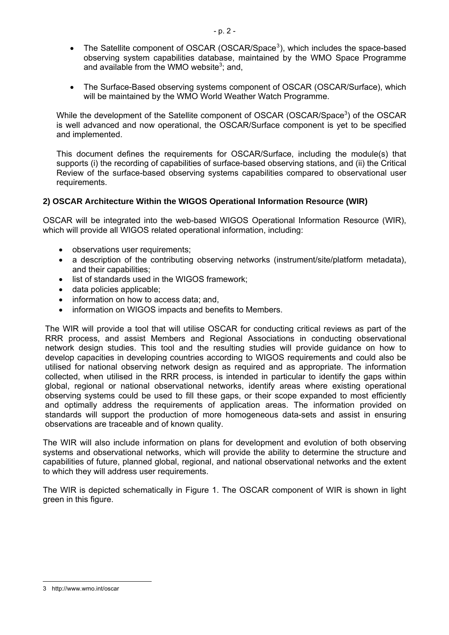- <span id="page-1-1"></span>• The Satellite component of OSCAR (OSCAR/Space<sup>[3](#page-1-0)</sup>), which includes the space-based observing system capabilities database, maintained by the WMO Space Programme and available from the WMO website<sup>[3](#page-1-1)</sup>; and,
- The Surface-Based observing systems component of OSCAR (OSCAR/Surface), which will be maintained by the WMO World Weather Watch Programme.

While the development of the Satellite component of OSCAR (OSCAR/Space<sup>[3](#page-1-1)</sup>) of the OSCAR is well advanced and now operational, the OSCAR/Surface component is yet to be specified and implemented.

This document defines the requirements for OSCAR/Surface, including the module(s) that supports (i) the recording of capabilities of surface-based observing stations, and (ii) the Critical Review of the surface-based observing systems capabilities compared to observational user requirements.

### **2) OSCAR Architecture Within the WIGOS Operational Information Resource (WIR)**

OSCAR will be integrated into the web-based WIGOS Operational Information Resource (WIR), which will provide all WIGOS related operational information, including:

- observations user requirements;
- a description of the contributing observing networks (instrument/site/platform metadata), and their capabilities;
- list of standards used in the WIGOS framework;
- data policies applicable;
- information on how to access data; and,
- information on WIGOS impacts and benefits to Members.

The WIR will provide a tool that will utilise OSCAR for conducting critical reviews as part of the RRR process, and assist Members and Regional Associations in conducting observational network design studies. This tool and the resulting studies will provide guidance on how to develop capacities in developing countries according to WIGOS requirements and could also be utilised for national observing network design as required and as appropriate. The information collected, when utilised in the RRR process, is intended in particular to identify the gaps within global, regional or national observational networks, identify areas where existing operational observing systems could be used to fill these gaps, or their scope expanded to most efficiently and optimally address the requirements of application areas. The information provided on standards will support the production of more homogeneous data-sets and assist in ensuring observations are traceable and of known quality.

The WIR will also include information on plans for development and evolution of both observing systems and observational networks, which will provide the ability to determine the structure and capabilities of future, planned global, regional, and national observational networks and the extent to which they will address user requirements.

The WIR is depicted schematically in Figure 1. The OSCAR component of WIR is shown in light green in this figure.

<span id="page-1-0"></span><sup>3</sup> http://www.wmo.int/oscar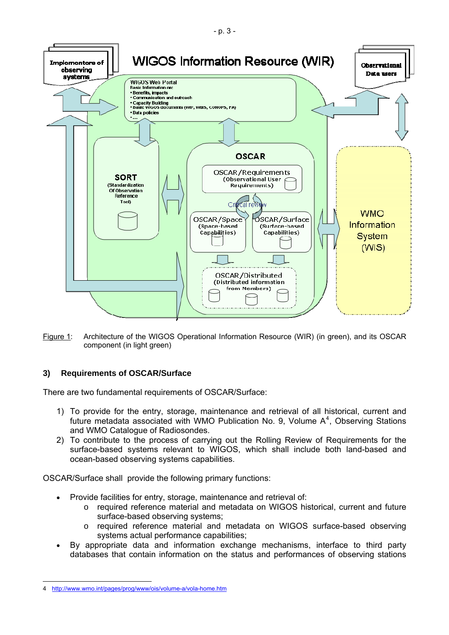

Figure 1: Architecture of the WIGOS Operational Information Resource (WIR) (in green), and its OSCAR component (in light green)

# **3) Requirements of OSCAR/Surface**

There are two fundamental requirements of OSCAR/Surface:

- 1) To provide for the entry, storage, maintenance and retrieval of all historical, current and future metadata associated with WMO Publication No. 9, Volume  $A<sup>4</sup>$  $A<sup>4</sup>$  $A<sup>4</sup>$ , Observing Stations and WMO Catalogue of Radiosondes.
- 2) To contribute to the process of carrying out the Rolling Review of Requirements for the surface-based systems relevant to WIGOS, which shall include both land-based and ocean-based observing systems capabilities.

OSCAR/Surface shall provide the following primary functions:

- Provide facilities for entry, storage, maintenance and retrieval of:
	- o required reference material and metadata on WIGOS historical, current and future surface-based observing systems;
	- o required reference material and metadata on WIGOS surface-based observing systems actual performance capabilities;
- By appropriate data and information exchange mechanisms, interface to third party databases that contain information on the status and performances of observing stations

<span id="page-2-0"></span> 4 <http://www.wmo.int/pages/prog/www/ois/volume-a/vola-home.htm>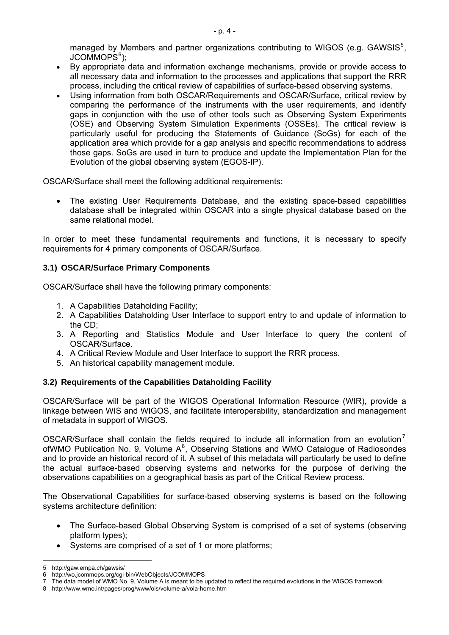managed by Members and partner organizations contributing to WIGOS (e.g. GAWSIS $5$ , JCOMMOPS<sup>6</sup>);

- By appropriate data and information exchange mechanisms, provide or provide access to all necessary data and information to the processes and applications that support the RRR process, including the critical review of capabilities of surface-based observing systems.
- Using information from both OSCAR/Requirements and OSCAR/Surface, critical review by comparing the performance of the instruments with the user requirements, and identify gaps in conjunction with the use of other tools such as Observing System Experiments (OSE) and Observing System Simulation Experiments (OSSEs). The critical review is particularly useful for producing the Statements of Guidance (SoGs) for each of the application area which provide for a gap analysis and specific recommendations to address those gaps. SoGs are used in turn to produce and update the Implementation Plan for the Evolution of the global observing system (EGOS-IP).

OSCAR/Surface shall meet the following additional requirements:

• The existing User Requirements Database, and the existing space-based capabilities database shall be integrated within OSCAR into a single physical database based on the same relational model.

In order to meet these fundamental requirements and functions, it is necessary to specify requirements for 4 primary components of OSCAR/Surface.

### **3.1) OSCAR/Surface Primary Components**

OSCAR/Surface shall have the following primary components:

- 1. A Capabilities Dataholding Facility;
- 2. A Capabilities Dataholding User Interface to support entry to and update of information to the CD;
- 3. A Reporting and Statistics Module and User Interface to query the content of OSCAR/Surface.
- 4. A Critical Review Module and User Interface to support the RRR process.
- 5. An historical capability management module.

#### **3.2) Requirements of the Capabilities Dataholding Facility**

OSCAR/Surface will be part of the WIGOS Operational Information Resource (WIR), provide a linkage between WIS and WIGOS, and facilitate interoperability, standardization and management of metadata in support of WIGOS.

OSCAR/Surface shall contain the fields required to include all information from an evolution<sup>[7](#page-3-0)</sup> ofWMO Publication No. 9, Volume  $A^8$  $A^8$ , Observing Stations and WMO Catalogue of Radiosondes and to provide an historical record of it. A subset of this metadata will particularly be used to define the actual surface-based observing systems and networks for the purpose of deriving the observations capabilities on a geographical basis as part of the Critical Review process.

The Observational Capabilities for surface-based observing systems is based on the following systems architecture definition:

- The Surface-based Global Observing System is comprised of a set of systems (observing platform types);
- Systems are comprised of a set of 1 or more platforms;

 $\overline{a}$ 5 <http://gaw.empa.ch/gawsis/>

<span id="page-3-0"></span><sup>6</sup> <http://wo.jcommops.org/cgi-bin/WebObjects/JCOMMOPS>

<sup>7</sup> The data model of WMO No. 9, Volume A is meant to be updated to reflect the required evolutions in the WIGOS framework

<span id="page-3-1"></span><sup>8</sup> <http://www.wmo.int/pages/prog/www/ois/volume-a/vola-home.htm>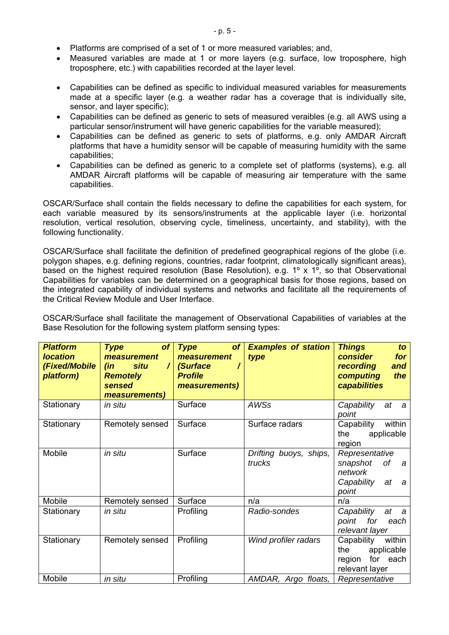- Platforms are comprised of a set of 1 or more measured variables; and,
- Measured variables are made at 1 or more layers (e.g. surface, low troposphere, high troposphere, etc.) with capabilities recorded at the layer level.
- Capabilities can be defined as specific to individual measured variables for measurements made at a specific layer (e.g. a weather radar has a coverage that is individually site, sensor, and layer specific);
- Capabilities can be defined as generic to sets of measured veraibles (e.g. all AWS using a particular sensor/instrument will have generic capabilities for the variable measured);
- Capabilities can be defined as generic to sets of platforms, e.g. only AMDAR Aircraft platforms that have a humidity sensor will be capable of measuring humidity with the same capabilities;
- Capabilities can be defined as generic to a complete set of platforms (systems), e.g. all AMDAR Aircraft platforms will be capable of measuring air temperature with the same capabilities.

OSCAR/Surface shall contain the fields necessary to define the capabilities for each system, for each variable measured by its sensors/instruments at the applicable layer (i.e. horizontal resolution, vertical resolution, observing cycle, timeliness, uncertainty, and stability), with the following functionality.

OSCAR/Surface shall facilitate the definition of predefined geographical regions of the globe (i.e. polygon shapes, e.g. defining regions, countries, radar footprint, climatologically significant areas), based on the highest required resolution (Base Resolution), e.g. 1° x 1°, so that Observational Capabilities for variables can be determined on a geographical basis for those regions, based on the integrated capability of individual systems and networks and facilitate all the requirements of the Critical Review Module and User Interface.

OSCAR/Surface shall facilitate the management of Observational Capabilities of variables at the Base Resolution for the following system platform sensing types:

| <b>Platform</b><br><b>location</b><br>(Fixed/Mobile<br>platform) | of<br><b>Type</b><br>measurement<br><b>situ</b><br>$\prime$<br>(in<br><b>Remotely</b><br>sensed<br>measurements) | of<br><b>Type</b><br>measurement<br>(Surface<br><b>Profile</b><br>measurements) | <b>Examples of station</b><br>type | <b>Things</b><br>to<br>consider<br>for<br>recording<br>and<br>computing<br>the<br>capabilities |
|------------------------------------------------------------------|------------------------------------------------------------------------------------------------------------------|---------------------------------------------------------------------------------|------------------------------------|------------------------------------------------------------------------------------------------|
| Stationary                                                       | in situ                                                                                                          | Surface                                                                         | <b>AWSs</b>                        | Capability<br>at<br>- a<br>point                                                               |
| Stationary                                                       | Remotely sensed                                                                                                  | Surface                                                                         | Surface radars                     | Capability<br>within<br>applicable<br>the<br>region                                            |
| Mobile                                                           | in situ                                                                                                          | Surface                                                                         | Drifting buoys, ships,<br>trucks   | Representative<br>snapshot<br>of a<br>network<br>Capability<br>at<br>- a<br>point              |
| Mobile                                                           | Remotely sensed                                                                                                  | Surface                                                                         | n/a                                | n/a                                                                                            |
| Stationary                                                       | in situ                                                                                                          | Profiling                                                                       | Radio-sondes                       | Capability<br>at<br>a a<br>point for<br>each<br>relevant layer                                 |
| Stationary                                                       | Remotely sensed                                                                                                  | Profiling                                                                       | Wind profiler radars               | Capability<br>within<br>applicable<br>the<br>for each<br>region<br>relevant layer              |
| Mobile                                                           | in situ                                                                                                          | Profiling                                                                       | AMDAR, Argo floats,                | Representative                                                                                 |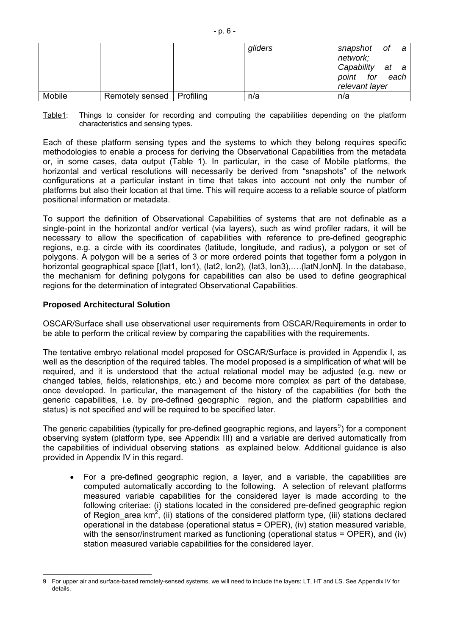|        |                             | gliders | snapshot of a<br>network;                           |
|--------|-----------------------------|---------|-----------------------------------------------------|
|        |                             |         | Capability at a<br>point for each<br>relevant layer |
| Mobile | Remotely sensed   Profiling | n/a     | n/a                                                 |

Table1: Things to consider for recording and computing the capabilities depending on the platform characteristics and sensing types.

Each of these platform sensing types and the systems to which they belong requires specific methodologies to enable a process for deriving the Observational Capabilities from the metadata or, in some cases, data output (Table 1). In particular, in the case of Mobile platforms, the horizontal and vertical resolutions will necessarily be derived from "snapshots" of the network configurations at a particular instant in time that takes into account not only the number of platforms but also their location at that time. This will require access to a reliable source of platform positional information or metadata.

To support the definition of Observational Capabilities of systems that are not definable as a single-point in the horizontal and/or vertical (via layers), such as wind profiler radars, it will be necessary to allow the specification of capabilities with reference to pre-defined geographic regions, e.g. a circle with its coordinates (latitude, longitude, and radius), a polygon or set of polygons. A polygon will be a series of 3 or more ordered points that together form a polygon in horizontal geographical space [(lat1, lon1), (lat2, lon2), (lat3, lon3),....(latN,lonN]. In the database, the mechanism for defining polygons for capabilities can also be used to define geographical regions for the determination of integrated Observational Capabilities.

#### **Proposed Architectural Solution**

OSCAR/Surface shall use observational user requirements from OSCAR/Requirements in order to be able to perform the critical review by comparing the capabilities with the requirements.

The tentative embryo relational model proposed for OSCAR/Surface is provided in Appendix I, as well as the description of the required tables. The model proposed is a simplification of what will be required, and it is understood that the actual relational model may be adjusted (e.g. new or changed tables, fields, relationships, etc.) and become more complex as part of the database, once developed. In particular, the management of the history of the capabilities (for both the generic capabilities, i.e. by pre-defined geographic region, and the platform capabilities and status) is not specified and will be required to be specified later.

The generic capabilities (typically for pre-defined geographic regions, and layers<sup>[9](#page-5-0)</sup>) for a component observing system (platform type, see Appendix III) and a variable are derived automatically from the capabilities of individual observing stations as explained below. Additional guidance is also provided in Appendix IV in this regard.

• For a pre-defined geographic region, a layer, and a variable, the capabilities are computed automatically according to the following. A selection of relevant platforms measured variable capabilities for the considered layer is made according to the following criteriae: (i) stations located in the considered pre-defined geographic region of Region\_area km<sup>2</sup>, (ii) stations of the considered platform type, (iii) stations declared operational in the database (operational status = OPER), (iv) station measured variable, with the sensor/instrument marked as functioning (operational status = OPER), and (iv) station measured variable capabilities for the considered layer.

<span id="page-5-0"></span> $\overline{a}$ 9 For upper air and surface-based remotely-sensed systems, we will need to include the layers: LT, HT and LS. See Appendix IV for details.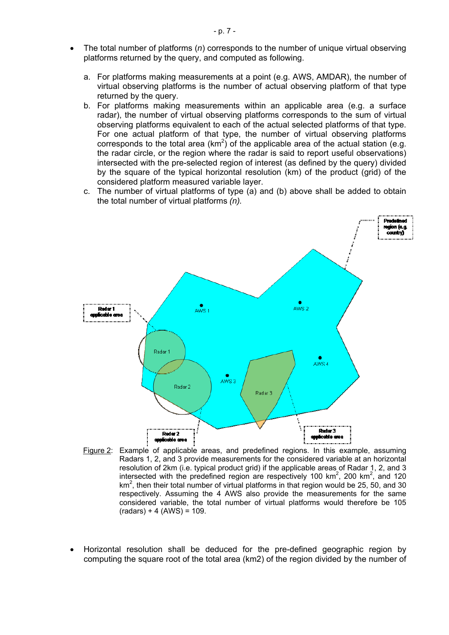- The total number of platforms (*n*) corresponds to the number of unique virtual observing platforms returned by the query, and computed as following.
	- a. For platforms making measurements at a point (e.g. AWS, AMDAR), the number of virtual observing platforms is the number of actual observing platform of that type returned by the query.
	- b. For platforms making measurements within an applicable area (e.g. a surface radar), the number of virtual observing platforms corresponds to the sum of virtual observing platforms equivalent to each of the actual selected platforms of that type. For one actual platform of that type, the number of virtual observing platforms corresponds to the total area  $(km^2)$  of the applicable area of the actual station (e.g. the radar circle, or the region where the radar is said to report useful observations) intersected with the pre-selected region of interest (as defined by the query) divided by the square of the typical horizontal resolution (km) of the product (grid) of the considered platform measured variable layer.
	- c. The number of virtual platforms of type (a) and (b) above shall be added to obtain the total number of virtual platforms *(n).*



- Figure 2: Example of applicable areas, and predefined regions. In this example, assuming Radars 1, 2, and 3 provide measurements for the considered variable at an horizontal resolution of 2km (i.e. typical product grid) if the applicable areas of Radar 1, 2, and 3 intersected with the predefined region are respectively 100  $km^2$ , 200  $km^2$ , and 120  $km<sup>2</sup>$ , then their total number of virtual platforms in that region would be 25, 50, and 30 respectively. Assuming the 4 AWS also provide the measurements for the same considered variable, the total number of virtual platforms would therefore be 105  $(radars) + 4 (AWS) = 109.$
- Horizontal resolution shall be deduced for the pre-defined geographic region by computing the square root of the total area (km2) of the region divided by the number of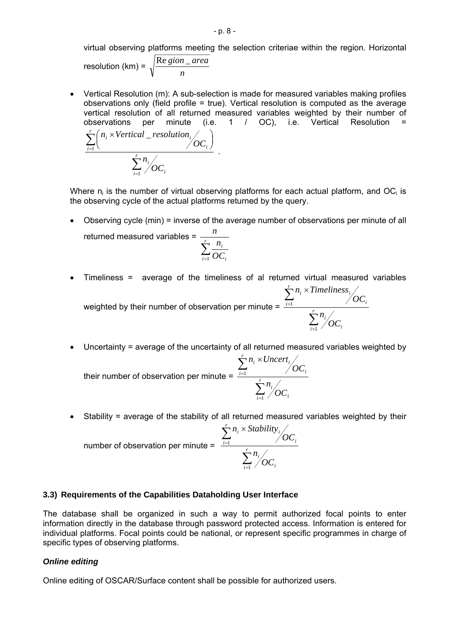virtual observing platforms meeting the selection criteriae within the region. Horizontal

resolution (km) = *n* Re *gion* \_ area

=

1

 $\frac{1}{i=1}$  /  $\mathbf{OC}_i$ *i*

*OC*

• Vertical Resolution (m): A sub-selection is made for measured variables making profiles observations only (field profile = true). Vertical resolution is computed as the average vertical resolution of all returned measured variables weighted by their number of observations per minute (i.e. 1 / OC), i.e. Vertical Resolution = ∑  $\sum_{i=1}$  $\left(n_i \times \text{Vertical } \_\text{resolution} \middle/ \text{OC}_i\right)$  $(n_i \times$ *r r*  $\frac{1}{i}$   $\vee$   $\vee$   $\vee$   $\vee$   $\vee$   $\vee$ *i i n OC n*<sub>i</sub> × *Vertical* \_ *resolution* 1 \_ .

Where  $n_i$  is the number of virtual observing platforms for each actual platform, and OC<sub>i</sub> is the observing cycle of the actual platforms returned by the query.

• Observing cycle (min) = inverse of the average number of observations per minute of all returned measured variables =  $\frac{n}{\sqrt{n}}$ *n*

$$
\sum_{i=1}^r \frac{n_i}{OC_i}
$$

- Timeliness = average of the timeliness of al returned virtual measured variables weighted by their number of observation per minute = ∑ ∑ = × *r i r*  $\sum_{i=1}$   $\sum_{i=1}^{n}$ *i i OC n OC n Timeliness* 1
- Uncertainty = average of the uncertainty of all returned measured variables weighted by *r*

=

1

 $\frac{1}{i=1}$  /  $\mathbf{C} \mathbf{C}_i$ 

their number of observation per minute = ∑ ∑ = = × *r*  $\frac{1}{i=1}$  /  $\mathbf{OC}_i$ *i*  $\frac{i}{i}$  /  $OC_i$  $i \wedge$   $\cup$  *i* $\cup$  *i*<sub>*i*</sub> *OC n OC*  $n_i \times Uncert$ 1 1

• Stability = average of the stability of all returned measured variables weighted by their number of observation per minute = ∑ ∑ = × *r i r*  $\sum_{i=1}$  /  $\sum_{i}$  $\sum_{i}$   $\sim$  *subully*<sub>*i*</sub> *OC n OC n Stability*  $\frac{1}{1}$   $\frac{1}{1}$ 

=

1

 $\overline{I_{i=1}}$  /  $\sigma$   $C_i$ 

#### **3.3) Requirements of the Capabilities Dataholding User Interface**

The database shall be organized in such a way to permit authorized focal points to enter information directly in the database through password protected access. Information is entered for individual platforms. Focal points could be national, or represent specific programmes in charge of specific types of observing platforms.

#### *Online editing*

Online editing of OSCAR/Surface content shall be possible for authorized users.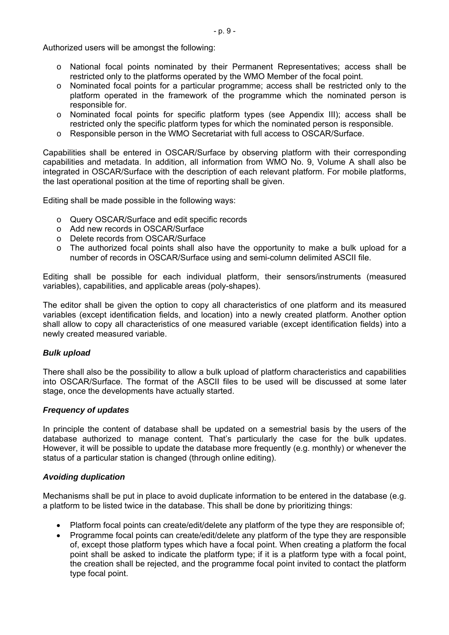Authorized users will be amongst the following:

- o National focal points nominated by their Permanent Representatives; access shall be restricted only to the platforms operated by the WMO Member of the focal point.
- o Nominated focal points for a particular programme; access shall be restricted only to the platform operated in the framework of the programme which the nominated person is responsible for.
- o Nominated focal points for specific platform types (see Appendix III); access shall be restricted only the specific platform types for which the nominated person is responsible.
- o Responsible person in the WMO Secretariat with full access to OSCAR/Surface.

Capabilities shall be entered in OSCAR/Surface by observing platform with their corresponding capabilities and metadata. In addition, all information from WMO No. 9, Volume A shall also be integrated in OSCAR/Surface with the description of each relevant platform. For mobile platforms, the last operational position at the time of reporting shall be given.

Editing shall be made possible in the following ways:

- o Query OSCAR/Surface and edit specific records
- o Add new records in OSCAR/Surface
- o Delete records from OSCAR/Surface
- o The authorized focal points shall also have the opportunity to make a bulk upload for a number of records in OSCAR/Surface using and semi-column delimited ASCII file.

Editing shall be possible for each individual platform, their sensors/instruments (measured variables), capabilities, and applicable areas (poly-shapes).

The editor shall be given the option to copy all characteristics of one platform and its measured variables (except identification fields, and location) into a newly created platform. Another option shall allow to copy all characteristics of one measured variable (except identification fields) into a newly created measured variable.

#### *Bulk upload*

There shall also be the possibility to allow a bulk upload of platform characteristics and capabilities into OSCAR/Surface. The format of the ASCII files to be used will be discussed at some later stage, once the developments have actually started.

#### *Frequency of updates*

In principle the content of database shall be updated on a semestrial basis by the users of the database authorized to manage content. That's particularly the case for the bulk updates. However, it will be possible to update the database more frequently (e.g. monthly) or whenever the status of a particular station is changed (through online editing).

#### *Avoiding duplication*

Mechanisms shall be put in place to avoid duplicate information to be entered in the database (e.g. a platform to be listed twice in the database. This shall be done by prioritizing things:

- Platform focal points can create/edit/delete any platform of the type they are responsible of;
- Programme focal points can create/edit/delete any platform of the type they are responsible of, except those platform types which have a focal point. When creating a platform the focal point shall be asked to indicate the platform type; if it is a platform type with a focal point, the creation shall be rejected, and the programme focal point invited to contact the platform type focal point.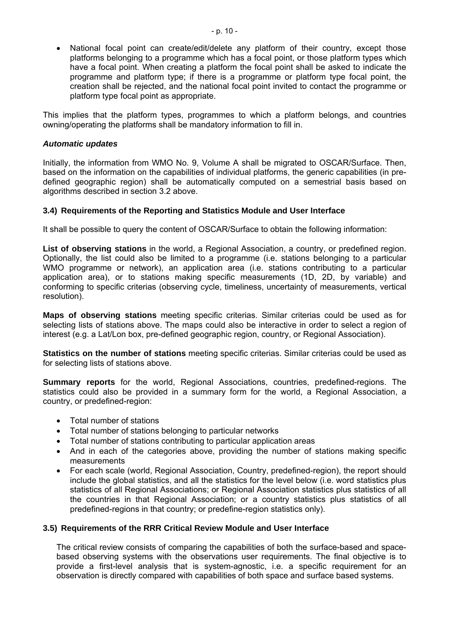National focal point can create/edit/delete any platform of their country, except those platforms belonging to a programme which has a focal point, or those platform types which have a focal point. When creating a platform the focal point shall be asked to indicate the programme and platform type; if there is a programme or platform type focal point, the creation shall be rejected, and the national focal point invited to contact the programme or platform type focal point as appropriate.

This implies that the platform types, programmes to which a platform belongs, and countries owning/operating the platforms shall be mandatory information to fill in.

#### *Automatic updates*

Initially, the information from WMO No. 9, Volume A shall be migrated to OSCAR/Surface. Then, based on the information on the capabilities of individual platforms, the generic capabilities (in predefined geographic region) shall be automatically computed on a semestrial basis based on algorithms described in section 3.2 above.

#### **3.4) Requirements of the Reporting and Statistics Module and User Interface**

It shall be possible to query the content of OSCAR/Surface to obtain the following information:

**List of observing stations** in the world, a Regional Association, a country, or predefined region. Optionally, the list could also be limited to a programme (i.e. stations belonging to a particular WMO programme or network), an application area (i.e. stations contributing to a particular application area), or to stations making specific measurements (1D, 2D, by variable) and conforming to specific criterias (observing cycle, timeliness, uncertainty of measurements, vertical resolution).

**Maps of observing stations** meeting specific criterias. Similar criterias could be used as for selecting lists of stations above. The maps could also be interactive in order to select a region of interest (e.g. a Lat/Lon box, pre-defined geographic region, country, or Regional Association).

**Statistics on the number of stations** meeting specific criterias. Similar criterias could be used as for selecting lists of stations above.

**Summary reports** for the world, Regional Associations, countries, predefined-regions. The statistics could also be provided in a summary form for the world, a Regional Association, a country, or predefined-region:

- Total number of stations
- Total number of stations belonging to particular networks
- Total number of stations contributing to particular application areas
- And in each of the categories above, providing the number of stations making specific measurements
- For each scale (world, Regional Association, Country, predefined-region), the report should include the global statistics, and all the statistics for the level below (i.e. word statistics plus statistics of all Regional Associations; or Regional Association statistics plus statistics of all the countries in that Regional Association; or a country statistics plus statistics of all predefined-regions in that country; or predefine-region statistics only).

#### **3.5) Requirements of the RRR Critical Review Module and User Interface**

The critical review consists of comparing the capabilities of both the surface-based and spacebased observing systems with the observations user requirements. The final objective is to provide a first-level analysis that is system-agnostic, i.e. a specific requirement for an observation is directly compared with capabilities of both space and surface based systems.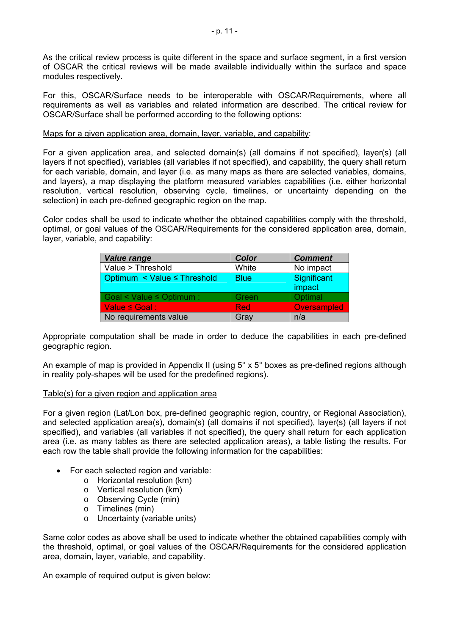As the critical review process is quite different in the space and surface segment, in a first version of OSCAR the critical reviews will be made available individually within the surface and space modules respectively.

For this, OSCAR/Surface needs to be interoperable with OSCAR/Requirements, where all requirements as well as variables and related information are described. The critical review for OSCAR/Surface shall be performed according to the following options:

#### Maps for a given application area, domain, layer, variable, and capability:

For a given application area, and selected domain(s) (all domains if not specified), layer(s) (all layers if not specified), variables (all variables if not specified), and capability, the query shall return for each variable, domain, and layer (i.e. as many maps as there are selected variables, domains, and layers), a map displaying the platform measured variables capabilities (i.e. either horizontal resolution, vertical resolution, observing cycle, timelines, or uncertainty depending on the selection) in each pre-defined geographic region on the map.

Color codes shall be used to indicate whether the obtained capabilities comply with the threshold, optimal, or goal values of the OSCAR/Requirements for the considered application area, domain, layer, variable, and capability:

| <b>Value range</b>            | <b>Color</b> | <b>Comment</b>        |
|-------------------------------|--------------|-----------------------|
| Value > Threshold             | White        | No impact             |
| Optimum < Value ≤ Threshold   | <b>Blue</b>  | Significant<br>impact |
| Goal < Value $\leq$ Optimum : | Green        | Optimal               |
| Value $\le$ Goal:             | <b>Red</b>   | Oversampled           |
| No requirements value         | Gray         | n/a                   |

Appropriate computation shall be made in order to deduce the capabilities in each pre-defined geographic region.

An example of map is provided in Appendix II (using 5° x 5° boxes as pre-defined regions although in reality poly-shapes will be used for the predefined regions).

#### Table(s) for a given region and application area

For a given region (Lat/Lon box, pre-defined geographic region, country, or Regional Association), and selected application area(s), domain(s) (all domains if not specified), layer(s) (all layers if not specified), and variables (all variables if not specified), the query shall return for each application area (i.e. as many tables as there are selected application areas), a table listing the results. For each row the table shall provide the following information for the capabilities:

- For each selected region and variable:
	- o Horizontal resolution (km)
	- o Vertical resolution (km)
	- o Observing Cycle (min)
	- o Timelines (min)
	- o Uncertainty (variable units)

Same color codes as above shall be used to indicate whether the obtained capabilities comply with the threshold, optimal, or goal values of the OSCAR/Requirements for the considered application area, domain, layer, variable, and capability.

An example of required output is given below: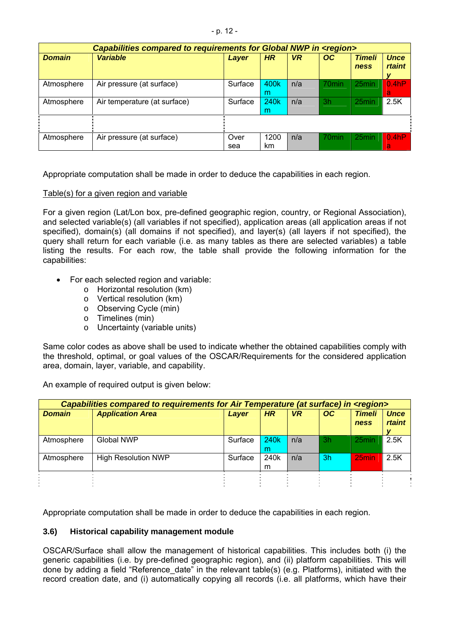|               | Capabilities compared to requirements for Global NWP in <region></region> |             |                       |           |                   |                       |                              |
|---------------|---------------------------------------------------------------------------|-------------|-----------------------|-----------|-------------------|-----------------------|------------------------------|
| <b>Domain</b> | <b>Variable</b>                                                           | Layer       | <b>HR</b>             | <b>VR</b> | OC                | <b>Timeli</b><br>ness | <b>Unce</b><br><b>rtaint</b> |
| Atmosphere    | Air pressure (at surface)                                                 | Surface     | 400k<br>m             | n/a       | 70 <sub>min</sub> | 25min                 | 0.4 <sub>h</sub> P<br>a      |
| Atmosphere    | Air temperature (at surface)                                              | Surface     | 240 <sub>k</sub><br>m | n/a       | 3h                | 25min                 | 2.5K                         |
|               |                                                                           |             |                       |           |                   |                       |                              |
| Atmosphere    | Air pressure (at surface)                                                 | Over<br>sea | 1200<br>km            | n/a       | 70 <sub>min</sub> | 25min                 | 0.4 <sub>h</sub> P<br>a      |

Appropriate computation shall be made in order to deduce the capabilities in each region.

#### Table(s) for a given region and variable

For a given region (Lat/Lon box, pre-defined geographic region, country, or Regional Association), and selected variable(s) (all variables if not specified), application areas (all application areas if not specified), domain(s) (all domains if not specified), and layer(s) (all layers if not specified), the query shall return for each variable (i.e. as many tables as there are selected variables) a table listing the results. For each row, the table shall provide the following information for the capabilities:

- For each selected region and variable:
	- o Horizontal resolution (km)
	- o Vertical resolution (km)
	- o Observing Cycle (min)
	- o Timelines (min)
	- o Uncertainty (variable units)

Same color codes as above shall be used to indicate whether the obtained capabilities comply with the threshold, optimal, or goal values of the OSCAR/Requirements for the considered application area, domain, layer, variable, and capability.

An example of required output is given below:

| Capabilities compared to requirements for Air Temperature (at surface) in <region></region> |                            |         |                       |           |           |                       |                              |
|---------------------------------------------------------------------------------------------|----------------------------|---------|-----------------------|-----------|-----------|-----------------------|------------------------------|
| <b>Domain</b>                                                                               | <b>Application Area</b>    | Layer   | HR                    | <b>VR</b> | <b>OC</b> | <b>Timeli</b><br>ness | <b>Unce</b><br><b>rtaint</b> |
| Atmosphere                                                                                  | Global NWP                 | Surface | 240 <sub>k</sub><br>m | n/a       | -3h       | 25 <sub>min</sub>     | 2.5K                         |
| Atmosphere                                                                                  | <b>High Resolution NWP</b> | Surface | 240k<br>m             | n/a       | 3h        | 25min                 | 2.5K                         |
|                                                                                             |                            |         |                       |           |           |                       |                              |

Appropriate computation shall be made in order to deduce the capabilities in each region.

#### **3.6) Historical capability management module**

OSCAR/Surface shall allow the management of historical capabilities. This includes both (i) the generic capabilities (i.e. by pre-defined geographic region), and (ii) platform capabilities. This will done by adding a field "Reference\_date" in the relevant table(s) (e.g. Platforms), initiated with the record creation date, and (i) automatically copying all records (i.e. all platforms, which have their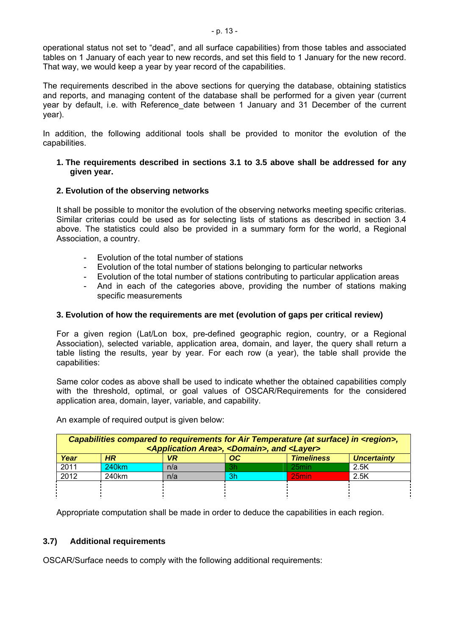operational status not set to "dead", and all surface capabilities) from those tables and associated tables on 1 January of each year to new records, and set this field to 1 January for the new record. That way, we would keep a year by year record of the capabilities.

The requirements described in the above sections for querying the database, obtaining statistics and reports, and managing content of the database shall be performed for a given year (current year by default, i.e. with Reference date between 1 January and 31 December of the current year).

In addition, the following additional tools shall be provided to monitor the evolution of the capabilities.

#### **1. The requirements described in sections 3.1 to 3.5 above shall be addressed for any given year.**

### **2. Evolution of the observing networks**

It shall be possible to monitor the evolution of the observing networks meeting specific criterias. Similar criterias could be used as for selecting lists of stations as described in section 3.4 above. The statistics could also be provided in a summary form for the world, a Regional Association, a country.

- Evolution of the total number of stations
- Evolution of the total number of stations belonging to particular networks
- Evolution of the total number of stations contributing to particular application areas
- And in each of the categories above, providing the number of stations making specific measurements

### **3. Evolution of how the requirements are met (evolution of gaps per critical review)**

For a given region (Lat/Lon box, pre-defined geographic region, country, or a Regional Association), selected variable, application area, domain, and layer, the query shall return a table listing the results, year by year. For each row (a year), the table shall provide the capabilities:

Same color codes as above shall be used to indicate whether the obtained capabilities comply with the threshold, optimal, or goal values of OSCAR/Requirements for the considered application area, domain, layer, variable, and capability.

| Capabilities compared to requirements for Air Temperature (at surface) in <region>,<br/><application area="">, <domain>, and <layer></layer></domain></application></region> |                   |     |     |                   |                    |
|------------------------------------------------------------------------------------------------------------------------------------------------------------------------------|-------------------|-----|-----|-------------------|--------------------|
| Year                                                                                                                                                                         | <b>HR</b>         | VR  | OC. | <b>Timeliness</b> | <b>Uncertainty</b> |
| 2011                                                                                                                                                                         | 240 <sub>km</sub> | n/a | 3h  | 25 <sub>min</sub> | 2.5K               |
| 2012                                                                                                                                                                         | 240km             | n/a | 3h  | 25min             | 2.5K               |
|                                                                                                                                                                              |                   |     |     |                   |                    |
|                                                                                                                                                                              |                   |     |     |                   |                    |

An example of required output is given below:

Appropriate computation shall be made in order to deduce the capabilities in each region.

# **3.7) Additional requirements**

OSCAR/Surface needs to comply with the following additional requirements: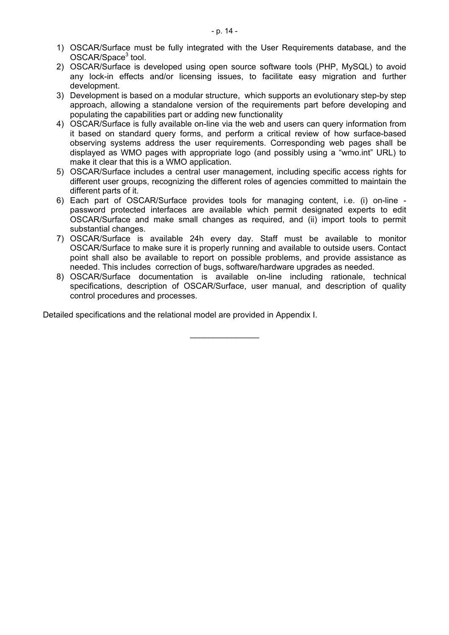- 1) OSCAR/Surface must be fully integrated with the User Requirements database, and the OSCAR/Space<sup>[3](#page-1-1)</sup> tool.
- 2) OSCAR/Surface is developed using open source software tools (PHP, MySQL) to avoid any lock-in effects and/or licensing issues, to facilitate easy migration and further development.
- 3) Development is based on a modular structure, which supports an evolutionary step-by step approach, allowing a standalone version of the requirements part before developing and populating the capabilities part or adding new functionality
- 4) OSCAR/Surface is fully available on-line via the web and users can query information from it based on standard query forms, and perform a critical review of how surface-based observing systems address the user requirements. Corresponding web pages shall be displayed as WMO pages with appropriate logo (and possibly using a "wmo.int" URL) to make it clear that this is a WMO application.
- 5) OSCAR/Surface includes a central user management, including specific access rights for different user groups, recognizing the different roles of agencies committed to maintain the different parts of it.
- 6) Each part of OSCAR/Surface provides tools for managing content, i.e. (i) on-line password protected interfaces are available which permit designated experts to edit OSCAR/Surface and make small changes as required, and (ii) import tools to permit substantial changes.
- 7) OSCAR/Surface is available 24h every day. Staff must be available to monitor OSCAR/Surface to make sure it is properly running and available to outside users. Contact point shall also be available to report on possible problems, and provide assistance as needed. This includes correction of bugs, software/hardware upgrades as needed.
- 8) OSCAR/Surface documentation is available on-line including rationale, technical specifications, description of OSCAR/Surface, user manual, and description of quality control procedures and processes.

 $\mathcal{L}_\text{max}$  , where  $\mathcal{L}_\text{max}$ 

Detailed specifications and the relational model are provided in Appendix I.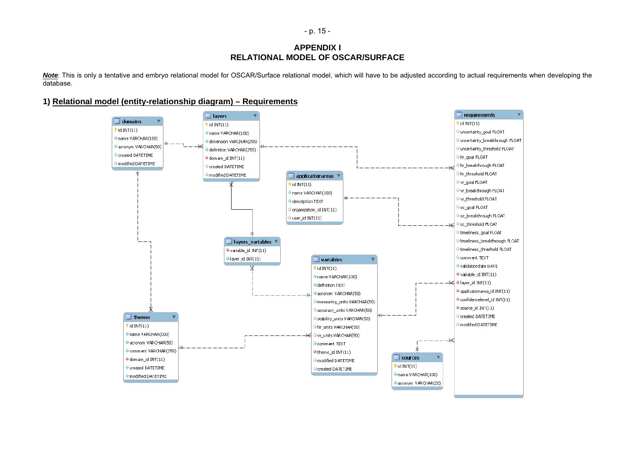- p. 15 -

#### **APPENDIX I RELATIONAL MODEL OF OSCAR/SURFACE**

Note: This is only a tentative and embryo relational model for OSCAR/Surface relational model, which will have to be adjusted according to actual requirements when developing the database.

#### **1) Relational model (entity-relationship diagram) – Requirements**

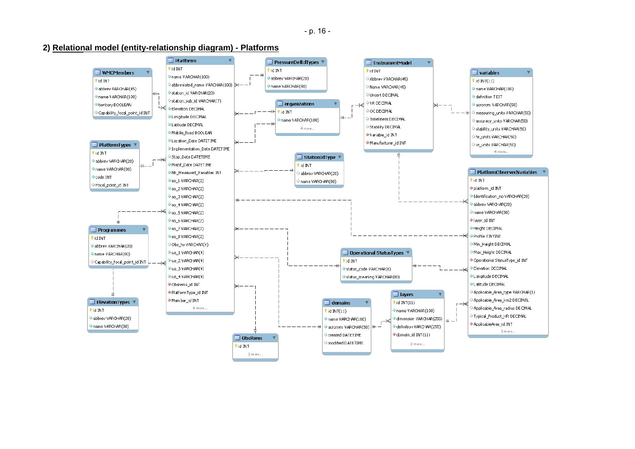- p. 16 -

**2) Relational model (entity-relationship diagram) - Platforms**

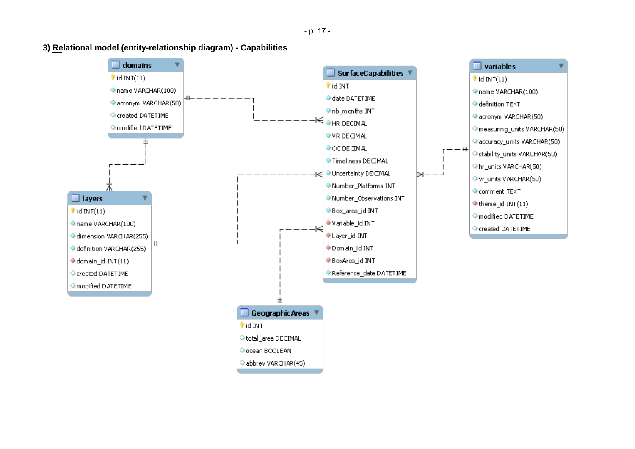#### **3) Relational model (entity-relationship diagram) - Capabilities**



- p. 17 -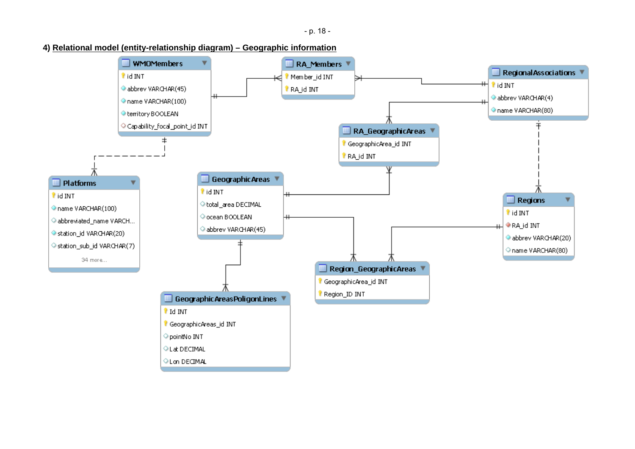- p. 18 -

#### **4) Relational model (entity-relationship diagram) – Geographic information**

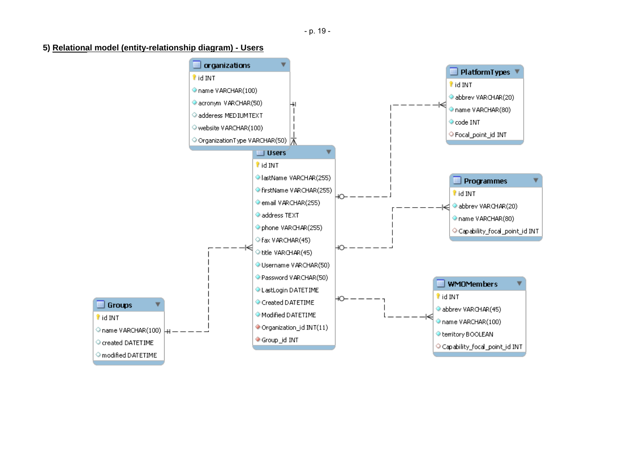#### **5) Relational model (entity-relationship diagram) - Users**

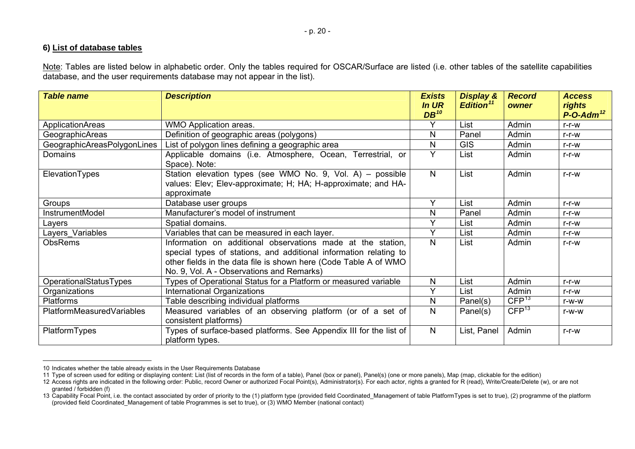#### **6) List of database tables**

Note: Tables are listed below in alphabetic order. Only the tables required for OSCAR/Surface are listed (i.e. other tables of the satellite capabilities database, and the user requirements database may not appear in the list).

| <b>Table name</b>           | <b>Description</b>                                                                                                                                                                                                                                | <b>Exists</b><br><b>In UR</b><br>$DB^{10}$ | <b>Display &amp;</b><br>Edition <sup>11</sup> | <b>Record</b><br>owner | <b>Access</b><br>rights<br>$P$ -O-Adm <sup>12</sup> |
|-----------------------------|---------------------------------------------------------------------------------------------------------------------------------------------------------------------------------------------------------------------------------------------------|--------------------------------------------|-----------------------------------------------|------------------------|-----------------------------------------------------|
| <b>ApplicationAreas</b>     | <b>WMO Application areas.</b>                                                                                                                                                                                                                     |                                            | List                                          | Admin                  | $r-r-w$                                             |
| GeographicAreas             | Definition of geographic areas (polygons)                                                                                                                                                                                                         | N                                          | Panel                                         | Admin                  | $r-r-w$                                             |
| GeographicAreasPolygonLines | List of polygon lines defining a geographic area                                                                                                                                                                                                  | N                                          | <b>GIS</b>                                    | Admin                  | r-r-w                                               |
| Domains                     | Applicable domains (i.e. Atmosphere, Ocean, Terrestrial, or<br>Space). Note:                                                                                                                                                                      | Y                                          | List                                          | Admin                  | $r-r-w$                                             |
| ElevationTypes              | Station elevation types (see WMO No. 9, Vol. A) - possible<br>values: Elev; Elev-approximate; H; HA; H-approximate; and HA-<br>approximate                                                                                                        | $\mathsf{N}$                               | List                                          | Admin                  | $r-r-w$                                             |
| Groups                      | Database user groups                                                                                                                                                                                                                              | $\checkmark$                               | List                                          | Admin                  | $r-r-w$                                             |
| InstrumentModel             | Manufacturer's model of instrument                                                                                                                                                                                                                | N                                          | Panel                                         | Admin                  | $r-r-w$                                             |
| Layers                      | Spatial domains.                                                                                                                                                                                                                                  | $\checkmark$                               | List                                          | Admin                  | $r-r-w$                                             |
| Layers_Variables            | Variables that can be measured in each layer.                                                                                                                                                                                                     | $\checkmark$                               | List                                          | Admin                  | $r-r-w$                                             |
| <b>ObsRems</b>              | Information on additional observations made at the station,<br>special types of stations, and additional information relating to<br>other fields in the data file is shown here (Code Table A of WMO<br>No. 9, Vol. A - Observations and Remarks) | $\mathsf{N}$                               | List                                          | Admin                  | $r-r-w$                                             |
| OperationalStatusTypes      | Types of Operational Status for a Platform or measured variable                                                                                                                                                                                   | N                                          | List                                          | Admin                  | $r-r-w$                                             |
| Organizations               | International Organizations                                                                                                                                                                                                                       | $\checkmark$                               | List                                          | Admin                  | $r-r-w$                                             |
| <b>Platforms</b>            | Table describing individual platforms                                                                                                                                                                                                             | N                                          | Panel(s)                                      | CFP <sup>13</sup>      | r-w-w                                               |
| PlatformMeasuredVariables   | Measured variables of an observing platform (or of a set of<br>consistent platforms)                                                                                                                                                              | $\mathsf{N}$                               | Panel(s)                                      | CFP <sup>13</sup>      | $r-W-W$                                             |
| PlatformTypes               | Types of surface-based platforms. See Appendix III for the list of<br>platform types.                                                                                                                                                             | $\mathsf{N}$                               | List, Panel                                   | Admin                  | $r-r-w$                                             |

<span id="page-19-4"></span><span id="page-19-0"></span><sup>10</sup> Indicates whether the table already exists in the User Requirements Database

<sup>11</sup> Type of screen used for editing or displaying content: List (list of records in the form of a table), Panel (box or panel), Panel(s) (one or more panels), Map (map, clickable for the edition)

<span id="page-19-2"></span><span id="page-19-1"></span><sup>12</sup> Access rights are indicated in the following order: Public, record Owner or authorized Focal Point(s), Administrator(s). For each actor, rights a granted for R (read), Write/Create/Delete (w), or are not granted / forbidden (f)

<span id="page-19-3"></span><sup>13</sup> Capability Focal Point, i.e. the contact associated by order of priority to the (1) platform type (provided field Coordinated Management of table PlatformTypes is set to true), (2) programme of the platform (provided field Coordinated\_Management of table Programmes is set to true), or (3) WMO Member (national contact)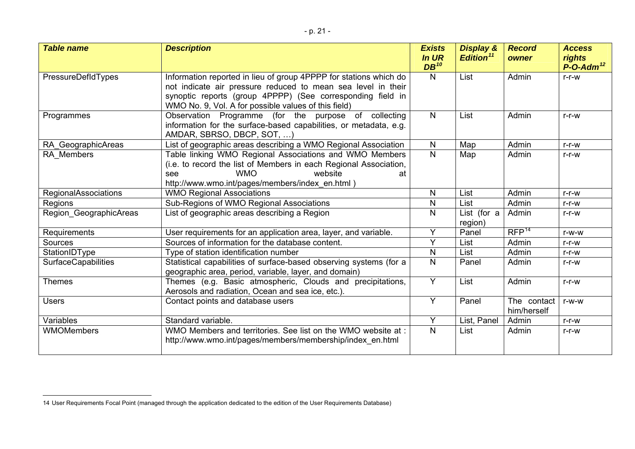| <b>Table name</b>          | <b>Description</b>                                                                                                                                                                                                                                      | <b>Exists</b><br>In UR<br>$DB^{10}$ | <b>Display &amp;</b><br>Edition <sup>11</sup> | <b>Record</b><br>owner     | <b>Access</b><br>rights<br>$P$ -O-Adm <sup>12</sup> |
|----------------------------|---------------------------------------------------------------------------------------------------------------------------------------------------------------------------------------------------------------------------------------------------------|-------------------------------------|-----------------------------------------------|----------------------------|-----------------------------------------------------|
| PressureDefIdTypes         | Information reported in lieu of group 4PPPP for stations which do<br>not indicate air pressure reduced to mean sea level in their<br>synoptic reports (group 4PPPP) (See corresponding field in<br>WMO No. 9, Vol. A for possible values of this field) | N                                   | List                                          | Admin                      | $r-r-w$                                             |
| Programmes                 | Observation Programme (for the purpose of collecting<br>information for the surface-based capabilities, or metadata, e.g.<br>AMDAR, SBRSO, DBCP, SOT, )                                                                                                 | N                                   | List                                          | Admin                      | $r-r-w$                                             |
| RA_GeographicAreas         | List of geographic areas describing a WMO Regional Association                                                                                                                                                                                          | N                                   | Map                                           | Admin                      | $r-r-w$                                             |
| RA Members                 | Table linking WMO Regional Associations and WMO Members<br>(i.e. to record the list of Members in each Regional Association,<br><b>WMO</b><br>website<br>see<br>at<br>http://www.wmo.int/pages/members/index_en.html)                                   | $\mathsf{N}$                        | Map                                           | Admin                      | $r-r-w$                                             |
| RegionalAssociations       | <b>WMO Regional Associations</b>                                                                                                                                                                                                                        | N                                   | List                                          | Admin                      | $r-r-w$                                             |
| Regions                    | Sub-Regions of WMO Regional Associations                                                                                                                                                                                                                | $\mathsf{N}$                        | List                                          | Admin                      | $r-r-w$                                             |
| Region_GeographicAreas     | List of geographic areas describing a Region                                                                                                                                                                                                            | N                                   | List (for a<br>region)                        | Admin                      | $r-r-w$                                             |
| Requirements               | User requirements for an application area, layer, and variable.                                                                                                                                                                                         | Y                                   | Panel                                         | RFP <sup>14</sup>          | r-w-w                                               |
| Sources                    | Sources of information for the database content.                                                                                                                                                                                                        | Y                                   | List                                          | Admin                      | $r-r-w$                                             |
| StationIDType              | Type of station identification number                                                                                                                                                                                                                   | $\mathsf{N}$                        | List                                          | Admin                      | r-r-w                                               |
| <b>SurfaceCapabilities</b> | Statistical capabilities of surface-based observing systems (for a<br>geographic area, period, variable, layer, and domain)                                                                                                                             | N                                   | Panel                                         | Admin                      | $r-r-w$                                             |
| <b>Themes</b>              | Themes (e.g. Basic atmospheric, Clouds and precipitations,<br>Aerosols and radiation, Ocean and sea ice, etc.).                                                                                                                                         | Y                                   | List                                          | Admin                      | $r-r-w$                                             |
| <b>Users</b>               | Contact points and database users                                                                                                                                                                                                                       | $\overline{Y}$                      | Panel                                         | The contact<br>him/herself | r-w-w                                               |
| Variables                  | Standard variable.                                                                                                                                                                                                                                      | Y                                   | List, Panel                                   | Admin                      | r-r-w                                               |
| <b>WMOMembers</b>          | WMO Members and territories. See list on the WMO website at:<br>http://www.wmo.int/pages/members/membership/index en.html                                                                                                                               | N                                   | List                                          | Admin                      | $r-r-w$                                             |

<span id="page-20-0"></span><sup>14</sup> User Requirements Focal Point (managed through the application dedicated to the edition of the User Requirements Database)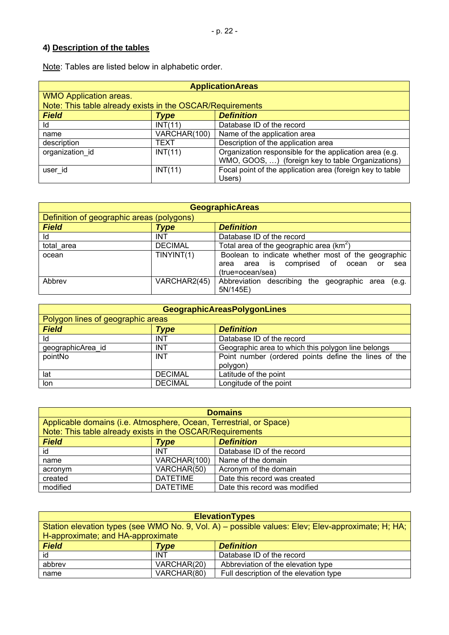# **4) Description of the tables**

Note: Tables are listed below in alphabetic order.

| <b>ApplicationAreas</b>                                   |              |                                                           |  |
|-----------------------------------------------------------|--------------|-----------------------------------------------------------|--|
| <b>WMO Application areas.</b>                             |              |                                                           |  |
| Note: This table already exists in the OSCAR/Requirements |              |                                                           |  |
| <b>Field</b>                                              | Type         | <b>Definition</b>                                         |  |
| Id                                                        | INT(11)      | Database ID of the record                                 |  |
| name                                                      | VARCHAR(100) | Name of the application area                              |  |
| description                                               | <b>TEXT</b>  | Description of the application area                       |  |
| organization id                                           | INT(11)      | Organization responsible for the application area (e.g.   |  |
|                                                           |              | WMO, GOOS, ) (foreign key to table Organizations)         |  |
| user id                                                   | INT(11)      | Focal point of the application area (foreign key to table |  |
|                                                           |              | Users)                                                    |  |

| <b>GeographicAreas</b>                    |                |                                                      |  |
|-------------------------------------------|----------------|------------------------------------------------------|--|
| Definition of geographic areas (polygons) |                |                                                      |  |
| <b>Field</b>                              | Type           | <b>Definition</b>                                    |  |
| ld                                        | INT            | Database ID of the record                            |  |
| total area                                | <b>DECIMAL</b> | Total area of the geographic area ( $km^2$ )         |  |
| ocean                                     | TINYINT(1)     | Boolean to indicate whether most of the geographic   |  |
|                                           |                | comprised of ocean<br>area is<br>sea<br>area<br>or   |  |
|                                           |                | (true=ocean/sea)                                     |  |
| Abbrev                                    | VARCHAR2(45)   | Abbreviation describing the geographic area<br>(e.g. |  |
|                                           |                | 5N/145E)                                             |  |

| <b>GeographicAreasPolygonLines</b> |                |                                                      |  |
|------------------------------------|----------------|------------------------------------------------------|--|
| Polygon lines of geographic areas  |                |                                                      |  |
| <b>Field</b>                       | Type           | <b>Definition</b>                                    |  |
| ld                                 | <b>INT</b>     | Database ID of the record                            |  |
| geographicArea_id                  | <b>INT</b>     | Geographic area to which this polygon line belongs   |  |
| pointNo                            | <b>INT</b>     | Point number (ordered points define the lines of the |  |
|                                    |                | polygon)                                             |  |
| lat                                | <b>DECIMAL</b> | Latitude of the point                                |  |
| lon                                | <b>DECIMAL</b> | Longitude of the point                               |  |

| <b>Domains</b>                                                     |                 |                               |  |  |
|--------------------------------------------------------------------|-----------------|-------------------------------|--|--|
| Applicable domains (i.e. Atmosphere, Ocean, Terrestrial, or Space) |                 |                               |  |  |
| Note: This table already exists in the OSCAR/Requirements          |                 |                               |  |  |
| <b>Field</b>                                                       | Type            | <b>Definition</b>             |  |  |
| id                                                                 | <b>INT</b>      | Database ID of the record     |  |  |
| name                                                               | VARCHAR(100)    | Name of the domain            |  |  |
| acronym                                                            | VARCHAR(50)     | Acronym of the domain         |  |  |
| created                                                            | <b>DATETIME</b> | Date this record was created  |  |  |
| modified                                                           | <b>DATETIME</b> | Date this record was modified |  |  |

| <b>ElevationTypes</b>                                                                             |             |                                        |
|---------------------------------------------------------------------------------------------------|-------------|----------------------------------------|
| Station elevation types (see WMO No. 9, Vol. A) – possible values: Elev; Elev-approximate; H; HA; |             |                                        |
| H-approximate; and HA-approximate                                                                 |             |                                        |
| <b>Field</b>                                                                                      | Type        | <b>Definition</b>                      |
| id                                                                                                | <b>INT</b>  | Database ID of the record              |
| abbrev                                                                                            | VARCHAR(20) | Abbreviation of the elevation type     |
| name                                                                                              | VARCHAR(80) | Full description of the elevation type |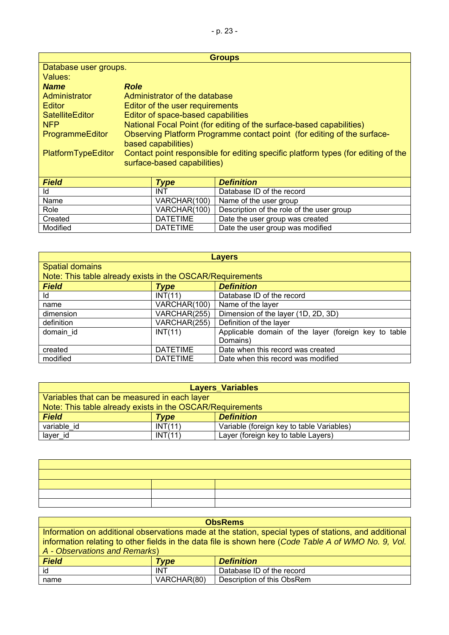| <b>Groups</b>                                                                                                                          |                                                                                                |                                                                      |
|----------------------------------------------------------------------------------------------------------------------------------------|------------------------------------------------------------------------------------------------|----------------------------------------------------------------------|
| Database user groups.                                                                                                                  |                                                                                                |                                                                      |
| Values:                                                                                                                                |                                                                                                |                                                                      |
| <b>Name</b>                                                                                                                            | <b>Role</b>                                                                                    |                                                                      |
| Administrator                                                                                                                          | Administrator of the database                                                                  |                                                                      |
| Editor                                                                                                                                 | Editor of the user requirements                                                                |                                                                      |
| <b>SatelliteEditor</b>                                                                                                                 | Editor of space-based capabilities                                                             |                                                                      |
| <b>NFP</b>                                                                                                                             |                                                                                                | National Focal Point (for editing of the surface-based capabilities) |
| ProgrammeEditor                                                                                                                        | Observing Platform Programme contact point (for editing of the surface-<br>based capabilities) |                                                                      |
| Contact point responsible for editing specific platform types (for editing of the<br>PlatformTypeEditor<br>surface-based capabilities) |                                                                                                |                                                                      |
| -- - -                                                                                                                                 | --                                                                                             | ---                                                                  |

| <b>Field</b> | Type         | <b>Definition</b>                         |
|--------------|--------------|-------------------------------------------|
| ld           | <b>INT</b>   | Database ID of the record                 |
| Name         | VARCHAR(100) | Name of the user group                    |
| Role         | VARCHAR(100) | Description of the role of the user group |
| Created      | DATETIME     | Date the user group was created           |
| Modified     | DATETIME     | Date the user group was modified          |

| <b>Layers</b>                                             |                 |                                                         |  |
|-----------------------------------------------------------|-----------------|---------------------------------------------------------|--|
| <b>Spatial domains</b>                                    |                 |                                                         |  |
| Note: This table already exists in the OSCAR/Requirements |                 |                                                         |  |
| <b>Field</b><br><b>Type</b>                               |                 | <b>Definition</b>                                       |  |
| ld                                                        | INT(11)         | Database ID of the record                               |  |
| name                                                      | VARCHAR(100)    | Name of the layer                                       |  |
| dimension                                                 | VARCHAR(255)    | Dimension of the layer (1D, 2D, 3D)                     |  |
| definition                                                | VARCHAR(255)    | Definition of the layer                                 |  |
| domain id                                                 | INT(11)         | Applicable domain of the layer (foreign key to<br>table |  |
|                                                           |                 | Domains)                                                |  |
| created                                                   | <b>DATETIME</b> | Date when this record was created                       |  |
| modified                                                  | <b>DATETIME</b> | Date when this record was modified                      |  |

| <b>Layers Variables</b>                                   |         |                                           |  |
|-----------------------------------------------------------|---------|-------------------------------------------|--|
| Variables that can be measured in each layer              |         |                                           |  |
| Note: This table already exists in the OSCAR/Requirements |         |                                           |  |
| <b>Field</b>                                              | Tvpe    | <b>Definition</b>                         |  |
| variable id                                               | INT(11) | Variable (foreign key to table Variables) |  |
| layer id                                                  | INT(11) | Layer (foreign key to table Layers)       |  |

| <b>ObsRems</b>                                                                                        |             |                            |  |
|-------------------------------------------------------------------------------------------------------|-------------|----------------------------|--|
| Information on additional observations made at the station, special types of stations, and additional |             |                            |  |
| information relating to other fields in the data file is shown here (Code Table A of WMO No. 9, Vol.  |             |                            |  |
| A - Observations and Remarks)                                                                         |             |                            |  |
| <b>Field</b><br><b>Definition</b><br>Type                                                             |             |                            |  |
| id                                                                                                    | <b>INT</b>  | Database ID of the record  |  |
| name                                                                                                  | VARCHAR(80) | Description of this ObsRem |  |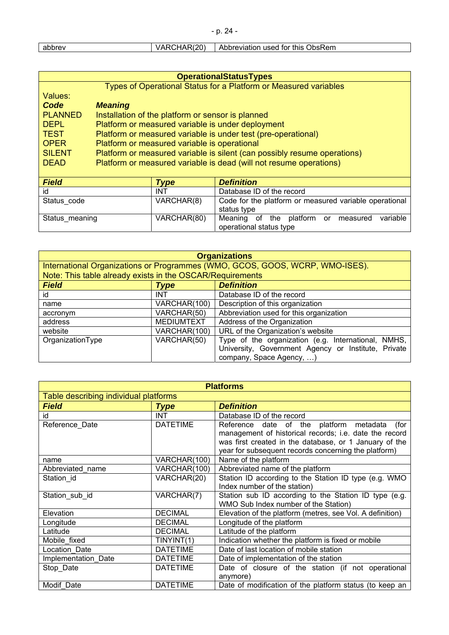| abbrev | VARCHAR(20) | Abbreviation used for this ObsRem |
|--------|-------------|-----------------------------------|

| <b>OperationalStatusTypes</b> |                                                                          |  |  |
|-------------------------------|--------------------------------------------------------------------------|--|--|
|                               | Types of Operational Status for a Platform or Measured variables         |  |  |
| Values:                       |                                                                          |  |  |
| Code                          | <b>Meaning</b>                                                           |  |  |
| <b>PLANNED</b>                | Installation of the platform or sensor is planned                        |  |  |
| <b>DEPL</b>                   | Platform or measured variable is under deployment                        |  |  |
| <b>TEST</b>                   | Platform or measured variable is under test (pre-operational)            |  |  |
| <b>OPER</b>                   | Platform or measured variable is operational                             |  |  |
| <b>SILENT</b>                 | Platform or measured variable is silent (can possibly resume operations) |  |  |
| <b>DEAD</b>                   | Platform or measured variable is dead (will not resume operations)       |  |  |
|                               |                                                                          |  |  |

| <b>Field</b>   | Type        | <b>Definition</b>                                                          |
|----------------|-------------|----------------------------------------------------------------------------|
| id             | <b>INT</b>  | Database ID of the record                                                  |
| Status code    | VARCHAR(8)  | Code for the platform or measured variable operational<br>status type      |
| Status meaning | VARCHAR(80) | Meaning of the platform or measured<br>variable<br>operational status type |

| <b>Organizations</b>                                                         |                   |                                                     |
|------------------------------------------------------------------------------|-------------------|-----------------------------------------------------|
| International Organizations or Programmes (WMO, GCOS, GOOS, WCRP, WMO-ISES). |                   |                                                     |
| Note: This table already exists in the OSCAR/Requirements                    |                   |                                                     |
| <b>Field</b><br><b>Type</b>                                                  |                   | <b>Definition</b>                                   |
| id                                                                           | <b>INT</b>        | Database ID of the record                           |
| name                                                                         | VARCHAR(100)      | Description of this organization                    |
| accronym                                                                     | VARCHAR(50)       | Abbreviation used for this organization             |
| address                                                                      | <b>MEDIUMTEXT</b> | Address of the Organization                         |
| website                                                                      | VARCHAR(100)      | URL of the Organization's website                   |
| OrganizationType                                                             | VARCHAR(50)       | Type of the organization (e.g. International, NMHS, |
|                                                                              |                   | University, Government Agency or Institute, Private |
|                                                                              |                   | company, Space Agency, )                            |

| <b>Platforms</b>                      |                 |                                                           |
|---------------------------------------|-----------------|-----------------------------------------------------------|
| Table describing individual platforms |                 |                                                           |
| <b>Field</b>                          | <b>Type</b>     | <b>Definition</b>                                         |
| id                                    | <b>INT</b>      | Database ID of the record                                 |
| Reference_Date                        | <b>DATETIME</b> | Reference date of the platform metadata<br>(for           |
|                                       |                 | management of historical records; i.e. date the record    |
|                                       |                 | was first created in the database, or 1 January of the    |
|                                       |                 | year for subsequent records concerning the platform)      |
| name                                  | VARCHAR(100)    | Name of the platform                                      |
| Abbreviated name                      | VARCHAR(100)    | Abbreviated name of the platform                          |
| Station id                            | VARCHAR(20)     | Station ID according to the Station ID type (e.g. WMO     |
|                                       |                 | Index number of the station)                              |
| Station sub id                        | VARCHAR(7)      | Station sub ID according to the Station ID type (e.g.     |
|                                       |                 | WMO Sub Index number of the Station)                      |
| Elevation                             | <b>DECIMAL</b>  | Elevation of the platform (metres, see Vol. A definition) |
| Longitude                             | <b>DECIMAL</b>  | Longitude of the platform                                 |
| Latitude                              | <b>DECIMAL</b>  | Latitude of the platform                                  |
| Mobile fixed                          | TINYINT(1)      | Indication whether the platform is fixed or mobile        |
| Location Date                         | <b>DATETIME</b> | Date of last location of mobile station                   |
| Implementation_Date                   | <b>DATETIME</b> | Date of implementation of the station                     |
| Stop_Date                             | <b>DATETIME</b> | Date of closure of the station (if not operational        |
|                                       |                 | anymore)                                                  |
| Modif Date                            | <b>DATETIME</b> | Date of modification of the platform status (to keep an   |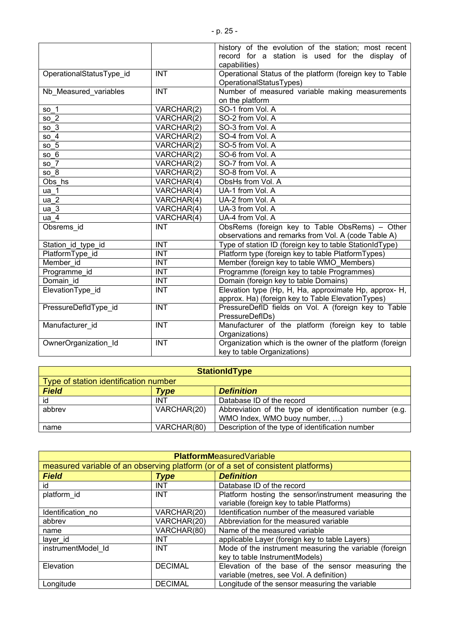|                          |                                | history of the evolution of the station; most recent     |
|--------------------------|--------------------------------|----------------------------------------------------------|
|                          |                                | record for a station is used for the display of          |
|                          |                                | capabilities)                                            |
| OperationalStatusType id | <b>INT</b>                     | Operational Status of the platform (foreign key to Table |
|                          |                                | OperationalStatusTypes)                                  |
| Nb Measured variables    | <b>INT</b>                     | Number of measured variable making measurements          |
|                          |                                | on the platform                                          |
| so $1$                   | VARCHAR(2)                     | SO-1 from Vol. A                                         |
| so $2$                   | VARCHAR(2)                     | SO-2 from Vol. A                                         |
| so <sub>3</sub>          | VARCHAR(2)                     | SO-3 from Vol. A                                         |
| so <sub>4</sub>          | VARCHAR(2)                     | SO-4 from Vol. A                                         |
| so <sub>5</sub>          | VARCHAR(2)                     | SO-5 from Vol. A                                         |
| so 6                     | VARCHAR(2)                     | SO-6 from Vol. A                                         |
| so 7                     | $\overline{\text{VARCHAR}}(2)$ | SO-7 from Vol. A                                         |
| so 8                     | VARCHAR(2)                     | SO-8 from Vol. A                                         |
| Obs hs                   | VARCHAR(4)                     | ObsHs from Vol. A                                        |
| ua 1                     | VARCHAR(4)                     | UA-1 from Vol. A                                         |
| ua <sub>2</sub>          | $\overline{\text{VARCHAR}}(4)$ | UA-2 from Vol. A                                         |
| ua <sub>3</sub>          | VARCHAR(4)                     | UA-3 from Vol. A                                         |
| ua <sub>4</sub>          | VARCHAR(4)                     | UA-4 from Vol. A                                         |
| Obsrems id               | <b>INT</b>                     | ObsRems (foreign key to Table ObsRems) - Other           |
|                          |                                | observations and remarks from Vol. A (code Table A)      |
| Station_id_type_id       | <b>INT</b>                     | Type of station ID (foreign key to table StationIdType)  |
| PlatformType_id          | <b>INT</b>                     | Platform type (foreign key to table PlatformTypes)       |
| Member id                | <b>INT</b>                     | Member (foreign key to table WMO_Members)                |
| Programme id             | <b>INT</b>                     | Programme (foreign key to table Programmes)              |
| Domain id                | <b>INT</b>                     | Domain (foreign key to table Domains)                    |
| ElevationType_id         | <b>INT</b>                     | Elevation type (Hp, H, Ha, approximate Hp, approx- H,    |
|                          |                                | approx. Ha) (foreign key to Table ElevationTypes)        |
| PressureDefIdType_id     | <b>INT</b>                     | PressureDefID fields on Vol. A (foreign key to Table     |
|                          |                                | PressureDefIDs)                                          |
| Manufacturer id          | <b>INT</b>                     | Manufacturer of the platform (foreign key to table       |
|                          |                                | Organizations)                                           |
| OwnerOrganization Id     | <b>INT</b>                     | Organization which is the owner of the platform (foreign |
|                          |                                | key to table Organizations)                              |

|                                       |             | <b>StationIdType</b>                                                                     |
|---------------------------------------|-------------|------------------------------------------------------------------------------------------|
| Type of station identification number |             |                                                                                          |
| <b>Field</b>                          | <b>Type</b> | <b>Definition</b>                                                                        |
| id                                    | <b>INT</b>  | Database ID of the record                                                                |
| abbrev                                | VARCHAR(20) | Abbreviation of the type of identification number (e.g.<br>WMO Index, WMO buoy number, ) |
| name                                  | VARCHAR(80) | Description of the type of identification number                                         |

| <b>PlatformMeasuredVariable</b> |                |                                                                                  |
|---------------------------------|----------------|----------------------------------------------------------------------------------|
|                                 |                | measured variable of an observing platform (or of a set of consistent platforms) |
| <b>Field</b>                    | <b>Type</b>    | <b>Definition</b>                                                                |
| id                              | <b>INT</b>     | Database ID of the record                                                        |
| platform_id                     | <b>INT</b>     | Platform hosting the sensor/instrument measuring the                             |
|                                 |                | variable (foreign key to table Platforms)                                        |
| Identification no               | VARCHAR(20)    | Identification number of the measured variable                                   |
| abbrev                          | VARCHAR(20)    | Abbreviation for the measured variable                                           |
| name                            | VARCHAR(80)    | Name of the measured variable                                                    |
| layer_id                        | <b>INT</b>     | applicable Layer (foreign key to table Layers)                                   |
| instrumentModel Id              | <b>INT</b>     | Mode of the instrument measuring the variable (foreign                           |
|                                 |                | key to table InstrumentModels)                                                   |
| Elevation                       | <b>DECIMAL</b> | Elevation of the base of the sensor measuring the                                |
|                                 |                | variable (metres, see Vol. A definition)                                         |
| Longitude                       | <b>DECIMAL</b> | Longitude of the sensor measuring the variable                                   |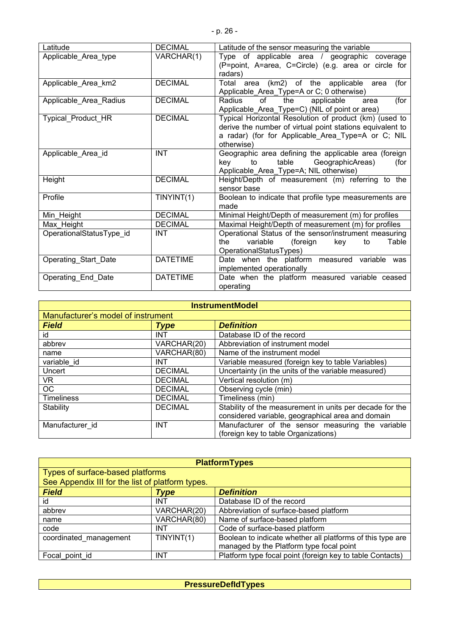| Latitude                 | <b>DECIMAL</b>  | Latitude of the sensor measuring the variable             |
|--------------------------|-----------------|-----------------------------------------------------------|
| Applicable_Area_type     | VARCHAR(1)      | Type of applicable area / geographic coverage             |
|                          |                 | (P=point, A=area, C=Circle) (e.g. area or circle for      |
|                          |                 | radars)                                                   |
| Applicable_Area_km2      | <b>DECIMAL</b>  | (km2) of the applicable<br>Total<br>(for<br>area<br>area  |
|                          |                 | Applicable_Area_Type=A or C; 0 otherwise)                 |
| Applicable_Area_Radius   | <b>DECIMAL</b>  | Radius<br>of<br>the<br>applicable<br>(for<br>area         |
|                          |                 | Applicable_Area_Type=C) (NIL of point or area)            |
| Typical_Product_HR       | <b>DECIMAL</b>  | Typical Horizontal Resolution of product (km) (used to    |
|                          |                 | derive the number of virtual point stations equivalent to |
|                          |                 | a radar) (for for Applicable Area Type=A or C; NIL        |
|                          |                 | otherwise)                                                |
| Applicable Area id       | <b>INT</b>      | Geographic area defining the applicable area (foreign     |
|                          |                 | table<br>GeographicAreas)<br>key<br>to<br>(for            |
|                          |                 | Applicable_Area_Type=A; NIL otherwise)                    |
| Height                   | <b>DECIMAL</b>  | Height/Depth of measurement (m) referring to<br>the       |
|                          |                 | sensor base                                               |
| Profile                  | TINYINT(1)      | Boolean to indicate that profile type measurements are    |
|                          |                 | made                                                      |
| Min Height               | <b>DECIMAL</b>  | Minimal Height/Depth of measurement (m) for profiles      |
| Max Height               | <b>DECIMAL</b>  | Maximal Height/Depth of measurement (m) for profiles      |
| OperationalStatusType id | INT             | Operational Status of the sensor/instrument measuring     |
|                          |                 | variable<br>Table<br>the<br>(foreign<br>key<br>to         |
|                          |                 | OperationalStatusTypes)                                   |
| Operating_Start_Date     | <b>DATETIME</b> | Date when the platform measured variable was              |
|                          |                 | implemented operationally                                 |
| Operating_End_Date       | <b>DATETIME</b> | Date when the platform measured variable ceased           |
|                          |                 | operating                                                 |

| <b>InstrumentModel</b>             |                |                                                          |
|------------------------------------|----------------|----------------------------------------------------------|
| Manufacturer's model of instrument |                |                                                          |
| <b>Field</b>                       | <b>Type</b>    | <b>Definition</b>                                        |
| id                                 | <b>INT</b>     | Database ID of the record                                |
| abbrev                             | VARCHAR(20)    | Abbreviation of instrument model                         |
| name                               | VARCHAR(80)    | Name of the instrument model                             |
| variable id                        | <b>INT</b>     | Variable measured (foreign key to table Variables)       |
| Uncert                             | <b>DECIMAL</b> | Uncertainty (in the units of the variable measured)      |
| VR.                                | <b>DECIMAL</b> | Vertical resolution (m)                                  |
| <b>OC</b>                          | <b>DECIMAL</b> | Observing cycle (min)                                    |
| <b>Timeliness</b>                  | <b>DECIMAL</b> | Timeliness (min)                                         |
| Stability                          | <b>DECIMAL</b> | Stability of the measurement in units per decade for the |
|                                    |                | considered variable, geographical area and domain        |
| Manufacturer id                    | <b>INT</b>     | Manufacturer of the sensor measuring the variable        |
|                                    |                | (foreign key to table Organizations)                     |

|                                                  |             | <b>PlatformTypes</b>                                       |
|--------------------------------------------------|-------------|------------------------------------------------------------|
| Types of surface-based platforms                 |             |                                                            |
| See Appendix III for the list of platform types. |             |                                                            |
| <b>Field</b>                                     | <b>Type</b> | <b>Definition</b>                                          |
| id                                               | <b>INT</b>  | Database ID of the record                                  |
| abbrev                                           | VARCHAR(20) | Abbreviation of surface-based platform                     |
| name                                             | VARCHAR(80) | Name of surface-based platform                             |
| code                                             | <b>INT</b>  | Code of surface-based platform                             |
| coordinated_management                           | TINYINT(1)  | Boolean to indicate whether all platforms of this type are |
|                                                  |             | managed by the Platform type focal point                   |
| Focal point id                                   | <b>INT</b>  | Platform type focal point (foreign key to table Contacts)  |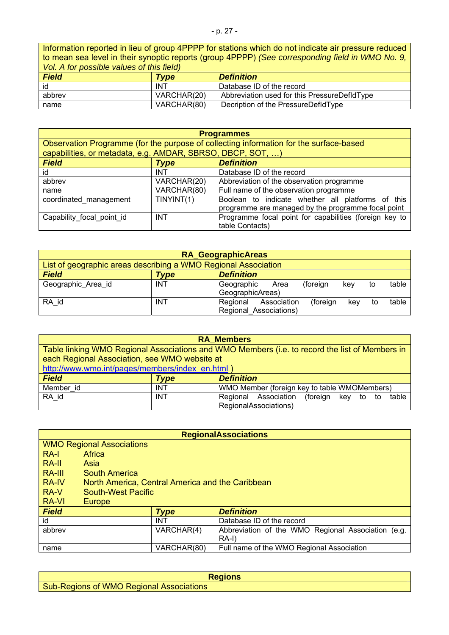- p. 27 -

Information reported in lieu of group 4PPPP for stations which do not indicate air pressure reduced to mean sea level in their synoptic reports (group 4PPPP) *(See corresponding field in WMO No. 9, Vol. A for possible values of this field)*

| <b>Field</b> | <b>Type</b> | <b>Definition</b>                            |
|--------------|-------------|----------------------------------------------|
| id           | <b>INT</b>  | Database ID of the record                    |
| abbrev       | VARCHAR(20) | Abbreviation used for this PressureDefldType |
| name         | VARCHAR(80) | Decription of the PressureDefIdType          |

|                                                            |             | <b>Programmes</b>                                                                      |
|------------------------------------------------------------|-------------|----------------------------------------------------------------------------------------|
|                                                            |             | Observation Programme (for the purpose of collecting information for the surface-based |
| capabilities, or metadata, e.g. AMDAR, SBRSO, DBCP, SOT, ) |             |                                                                                        |
| <b>Field</b>                                               | <b>Type</b> | <b>Definition</b>                                                                      |
| id                                                         | <b>INT</b>  | Database ID of the record                                                              |
| abbrev                                                     | VARCHAR(20) | Abbreviation of the observation programme                                              |
| name                                                       | VARCHAR(80) | Full name of the observation programme                                                 |
| coordinated management                                     | TINYINT(1)  | Boolean to indicate whether all platforms of this                                      |
|                                                            |             | programme are managed by the programme focal point                                     |
| Capability focal point id                                  | <b>INT</b>  | Programme focal point for capabilities (foreign key to                                 |
|                                                            |             | table Contacts)                                                                        |

|                                                                |            | <b>RA_GeographicAreas</b>                                                           |
|----------------------------------------------------------------|------------|-------------------------------------------------------------------------------------|
| List of geographic areas describing a WMO Regional Association |            |                                                                                     |
| <b>Field</b>                                                   | Type       | <b>Definition</b>                                                                   |
| Geographic Area id                                             | <b>INT</b> | table<br>Geographic<br>(foreign<br>kev<br>Area<br>to<br>GeographicAreas)            |
| RA id                                                          | <b>INT</b> | table<br>(foreign<br>Regional<br>Association<br>kev<br>to<br>Regional Associations) |

|                                                 |            | <b>RA Members</b>                                                                              |
|-------------------------------------------------|------------|------------------------------------------------------------------------------------------------|
|                                                 |            | Table linking WMO Regional Associations and WMO Members (i.e. to record the list of Members in |
| each Regional Association, see WMO website at   |            |                                                                                                |
| http://www.wmo.int/pages/members/index en.html) |            |                                                                                                |
| <b>Field</b>                                    | Type       | <b>Definition</b>                                                                              |
| Member id                                       | <b>INT</b> | WMO Member (foreign key to table WMOMembers)                                                   |
| RA id                                           | <b>INT</b> | Regional Association (foreign<br>key to to<br>table                                            |
|                                                 |            | RegionalAssociations)                                                                          |

|              |                                                  |             | <b>RegionalAssociations</b>                        |
|--------------|--------------------------------------------------|-------------|----------------------------------------------------|
|              | <b>WMO Regional Associations</b>                 |             |                                                    |
| RA-I         | Africa                                           |             |                                                    |
| RA-II        | Asia                                             |             |                                                    |
| RA-III       | South America                                    |             |                                                    |
| <b>RA-IV</b> | North America, Central America and the Caribbean |             |                                                    |
| RA-V         | <b>South-West Pacific</b>                        |             |                                                    |
| <b>RA-VI</b> | Europe                                           |             |                                                    |
| <b>Field</b> |                                                  | <b>Type</b> | <b>Definition</b>                                  |
| id           |                                                  | INT         | Database ID of the record                          |
| abbrev       |                                                  | VARCHAR(4)  | Abbreviation of the WMO Regional Association (e.g. |
|              |                                                  |             | RA-I)                                              |
| name         |                                                  | VARCHAR(80) | Full name of the WMO Regional Association          |

| aions                                                                         |
|-------------------------------------------------------------------------------|
| <b>Sub-Regions of</b><br><b>WMC</b><br>Regional<br>ASSOCIATIONS<br><b>DUN</b> |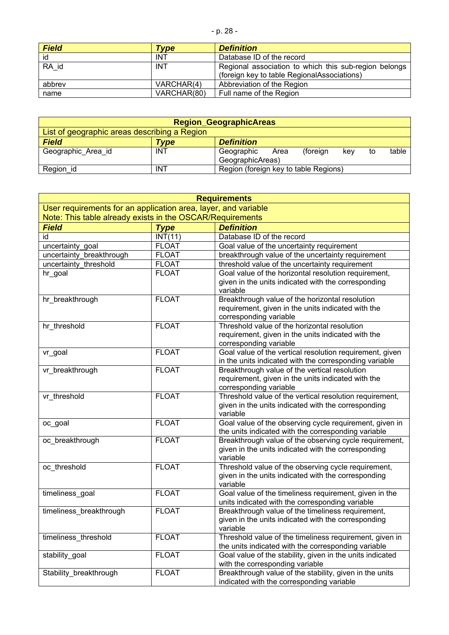|  | I |  |
|--|---|--|
|--|---|--|

| <b>Field</b> | Type        | <b>Definition</b>                                                                                    |
|--------------|-------------|------------------------------------------------------------------------------------------------------|
| id           | <b>INT</b>  | Database ID of the record                                                                            |
| RA id        | <b>INT</b>  | Regional association to which this sub-region belongs<br>(foreign key to table RegionalAssociations) |
| abbrev       | VARCHAR(4)  | Abbreviation of the Region                                                                           |
| name         | VARCHAR(80) | Full name of the Region                                                                              |

| <b>Region_GeographicAreas</b>                |            |                                       |      |          |     |    |       |
|----------------------------------------------|------------|---------------------------------------|------|----------|-----|----|-------|
| List of geographic areas describing a Region |            |                                       |      |          |     |    |       |
| <b>Field</b>                                 | Type       | <b>Definition</b>                     |      |          |     |    |       |
| Geographic Area id                           | <b>INT</b> | Geographic                            | Area | (foreign | kev | to | table |
|                                              |            | GeographicAreas)                      |      |          |     |    |       |
| Region id                                    | INT        | Region (foreign key to table Regions) |      |          |     |    |       |

| <b>Requirements</b>                                            |              |                                                                                                                  |  |
|----------------------------------------------------------------|--------------|------------------------------------------------------------------------------------------------------------------|--|
| User requirements for an application area, layer, and variable |              |                                                                                                                  |  |
| Note: This table already exists in the OSCAR/Requirements      |              |                                                                                                                  |  |
| <b>Field</b>                                                   | <b>Type</b>  | <b>Definition</b>                                                                                                |  |
| id                                                             | INT(11)      | Database ID of the record                                                                                        |  |
| uncertainty_goal                                               | <b>FLOAT</b> | Goal value of the uncertainty requirement                                                                        |  |
| uncertainty breakthrough                                       | <b>FLOAT</b> | breakthrough value of the uncertainty requirement                                                                |  |
| uncertainty threshold                                          | <b>FLOAT</b> | threshold value of the uncertainty requirement                                                                   |  |
| hr_goal                                                        | <b>FLOAT</b> | Goal value of the horizontal resolution requirement,                                                             |  |
|                                                                |              | given in the units indicated with the corresponding                                                              |  |
|                                                                |              | variable                                                                                                         |  |
| hr_breakthrough                                                | <b>FLOAT</b> | Breakthrough value of the horizontal resolution                                                                  |  |
|                                                                |              | requirement, given in the units indicated with the                                                               |  |
|                                                                |              | corresponding variable                                                                                           |  |
| hr threshold                                                   | <b>FLOAT</b> | Threshold value of the horizontal resolution                                                                     |  |
|                                                                |              | requirement, given in the units indicated with the                                                               |  |
|                                                                |              | corresponding variable                                                                                           |  |
| vr_goal                                                        | <b>FLOAT</b> | Goal value of the vertical resolution requirement, given                                                         |  |
| vr_breakthrough                                                | <b>FLOAT</b> | in the units indicated with the corresponding variable<br>Breakthrough value of the vertical resolution          |  |
|                                                                |              | requirement, given in the units indicated with the                                                               |  |
|                                                                |              | corresponding variable                                                                                           |  |
| vr threshold                                                   | <b>FLOAT</b> | Threshold value of the vertical resolution requirement,                                                          |  |
|                                                                |              | given in the units indicated with the corresponding                                                              |  |
|                                                                |              | variable                                                                                                         |  |
| oc_goal                                                        | <b>FLOAT</b> | Goal value of the observing cycle requirement, given in                                                          |  |
|                                                                |              | the units indicated with the corresponding variable                                                              |  |
| oc breakthrough                                                | <b>FLOAT</b> | Breakthrough value of the observing cycle requirement,                                                           |  |
|                                                                |              | given in the units indicated with the corresponding                                                              |  |
|                                                                |              | variable                                                                                                         |  |
| oc_threshold                                                   | <b>FLOAT</b> | Threshold value of the observing cycle requirement,                                                              |  |
|                                                                |              | given in the units indicated with the corresponding                                                              |  |
|                                                                |              | variable                                                                                                         |  |
| timeliness_goal                                                | <b>FLOAT</b> | Goal value of the timeliness requirement, given in the                                                           |  |
|                                                                |              | units indicated with the corresponding variable                                                                  |  |
| timeliness_breakthrough                                        | <b>FLOAT</b> | Breakthrough value of the timeliness requirement,                                                                |  |
|                                                                |              | given in the units indicated with the corresponding                                                              |  |
| timeliness threshold                                           | <b>FLOAT</b> | variable<br>Threshold value of the timeliness requirement, given in                                              |  |
|                                                                |              |                                                                                                                  |  |
| stability_goal                                                 | <b>FLOAT</b> | the units indicated with the corresponding variable<br>Goal value of the stability, given in the units indicated |  |
|                                                                |              | with the corresponding variable                                                                                  |  |
| Stability_breakthrough                                         | <b>FLOAT</b> | Breakthrough value of the stability, given in the units                                                          |  |
|                                                                |              | indicated with the corresponding variable                                                                        |  |
|                                                                |              |                                                                                                                  |  |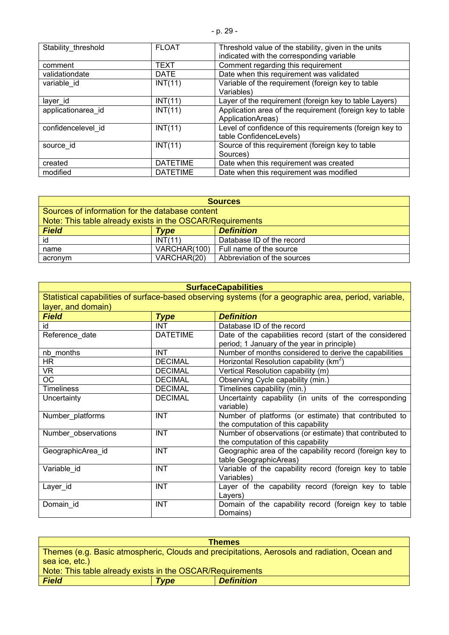| Stability threshold | <b>FLOAT</b>    | Threshold value of the stability, given in the units                           |
|---------------------|-----------------|--------------------------------------------------------------------------------|
|                     |                 | indicated with the corresponding variable                                      |
| comment             | <b>TEXT</b>     | Comment regarding this requirement                                             |
| validationdate      | <b>DATE</b>     | Date when this requirement was validated                                       |
| variable id         | INT(11)         | Variable of the requirement (foreign key to table                              |
|                     |                 | Variables)                                                                     |
| layer id            | INT(11)         | Layer of the requirement (foreign key to table Layers)                         |
| applicationarea id  | INT(11)         | Application area of the requirement (foreign key to table<br>ApplicationAreas) |
| confidencelevel id  | INT(11)         | Level of confidence of this requirements (foreign key to                       |
|                     |                 | table ConfidenceLevels)                                                        |
| source id           | INT(11)         | Source of this requirement (foreign key to table                               |
|                     |                 | Sources)                                                                       |
| created             | <b>DATETIME</b> | Date when this requirement was created                                         |
| modified            | <b>DATETIME</b> | Date when this requirement was modified                                        |

| <b>Sources</b>                                            |              |                             |  |
|-----------------------------------------------------------|--------------|-----------------------------|--|
| Sources of information for the database content           |              |                             |  |
| Note: This table already exists in the OSCAR/Requirements |              |                             |  |
| <b>Field</b>                                              | Type         | <b>Definition</b>           |  |
| id                                                        | INT(11)      | Database ID of the record   |  |
| name                                                      | VARCHAR(100) | Full name of the source     |  |
| acronym                                                   | VARCHAR(20)  | Abbreviation of the sources |  |

| <b>SurfaceCapabilities</b>                                                                            |                 |                                                          |
|-------------------------------------------------------------------------------------------------------|-----------------|----------------------------------------------------------|
| Statistical capabilities of surface-based observing systems (for a geographic area, period, variable, |                 |                                                          |
| layer, and domain)                                                                                    |                 |                                                          |
| <b>Field</b>                                                                                          | <b>Type</b>     | <b>Definition</b>                                        |
| id                                                                                                    | <b>INT</b>      | Database ID of the record                                |
| Reference_date                                                                                        | <b>DATETIME</b> | Date of the capabilities record (start of the considered |
|                                                                                                       |                 | period; 1 January of the year in principle)              |
| nb months                                                                                             | <b>INT</b>      | Number of months considered to derive the capabilities   |
| HR.                                                                                                   | <b>DECIMAL</b>  | Horizontal Resolution capability ( $km2$ )               |
| VR.                                                                                                   | <b>DECIMAL</b>  | Vertical Resolution capability (m)                       |
| <b>OC</b>                                                                                             | <b>DECIMAL</b>  | Observing Cycle capability (min.)                        |
| <b>Timeliness</b>                                                                                     | <b>DECIMAL</b>  | Timelines capability (min.)                              |
| Uncertainty                                                                                           | <b>DECIMAL</b>  | Uncertainty capability (in units of the corresponding    |
|                                                                                                       |                 | variable)                                                |
| Number_platforms                                                                                      | <b>INT</b>      | Number of platforms (or estimate) that contributed to    |
|                                                                                                       |                 | the computation of this capability                       |
| Number_observations                                                                                   | <b>INT</b>      | Number of observations (or estimate) that contributed to |
|                                                                                                       |                 | the computation of this capability                       |
| GeographicArea id                                                                                     | <b>INT</b>      | Geographic area of the capability record (foreign key to |
|                                                                                                       |                 | table GeographicAreas)                                   |
| Variable id                                                                                           | <b>INT</b>      | Variable of the capability record (foreign key to table  |
|                                                                                                       |                 | Variables)                                               |
| Layer_id                                                                                              | <b>INT</b>      | Layer of the capability record (foreign key to table     |
|                                                                                                       |                 | Layers)                                                  |
| Domain_id                                                                                             | <b>INT</b>      | Domain of the capability record (foreign key to table    |
|                                                                                                       |                 | Domains)                                                 |

| <b>Themes</b>                                                                                |             |                   |  |
|----------------------------------------------------------------------------------------------|-------------|-------------------|--|
| Themes (e.g. Basic atmospheric, Clouds and precipitations, Aerosols and radiation, Ocean and |             |                   |  |
| sea ice, etc.)                                                                               |             |                   |  |
| Note: This table already exists in the OSCAR/Requirements                                    |             |                   |  |
| <b>Field</b>                                                                                 | <b>Type</b> | <b>Definition</b> |  |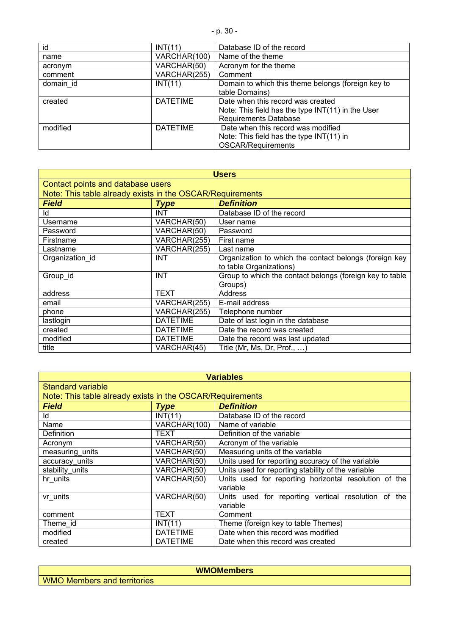| id        | INT(11)         | Database ID of the record                                                                                                |
|-----------|-----------------|--------------------------------------------------------------------------------------------------------------------------|
| name      | VARCHAR(100)    | Name of the theme                                                                                                        |
| acronym   | VARCHAR(50)     | Acronym for the theme                                                                                                    |
| comment   | VARCHAR(255)    | Comment                                                                                                                  |
| domain id | INT(11)         | Domain to which this theme belongs (foreign key to<br>table Domains)                                                     |
| created   | <b>DATETIME</b> | Date when this record was created<br>Note: This field has the type $INT(11)$ in the User<br><b>Requirements Database</b> |
| modified  | <b>DATETIME</b> | Date when this record was modified<br>Note: This field has the type INT(11) in<br><b>OSCAR/Requirements</b>              |

| <b>Users</b>                                              |                 |                                                          |
|-----------------------------------------------------------|-----------------|----------------------------------------------------------|
| Contact points and database users                         |                 |                                                          |
| Note: This table already exists in the OSCAR/Requirements |                 |                                                          |
| <b>Field</b>                                              | <b>Type</b>     | <b>Definition</b>                                        |
| ld                                                        | <b>INT</b>      | Database ID of the record                                |
| Username                                                  | VARCHAR(50)     | User name                                                |
| Password                                                  | VARCHAR(50)     | Password                                                 |
| Firstname                                                 | VARCHAR(255)    | First name                                               |
| Lastname                                                  | VARCHAR(255)    | Last name                                                |
| Organization id                                           | <b>INT</b>      | Organization to which the contact belongs (foreign key   |
|                                                           |                 | to table Organizations)                                  |
| Group id                                                  | <b>INT</b>      | Group to which the contact belongs (foreign key to table |
|                                                           |                 | Groups)                                                  |
| address                                                   | TEXT            | Address                                                  |
| email                                                     | VARCHAR(255)    | E-mail address                                           |
| phone                                                     | VARCHAR(255)    | Telephone number                                         |
| lastlogin                                                 | <b>DATETIME</b> | Date of last login in the database                       |
| created                                                   | <b>DATETIME</b> | Date the record was created                              |
| modified                                                  | <b>DATETIME</b> | Date the record was last updated                         |
| title                                                     | VARCHAR(45)     | Title (Mr, Ms, Dr, Prof., …)                             |

| <b>Variables</b>                                          |                 |                                                                   |  |
|-----------------------------------------------------------|-----------------|-------------------------------------------------------------------|--|
| Standard variable                                         |                 |                                                                   |  |
| Note: This table already exists in the OSCAR/Requirements |                 |                                                                   |  |
| <b>Field</b>                                              | <b>Type</b>     | <b>Definition</b>                                                 |  |
| ld                                                        | INT(11)         | Database ID of the record                                         |  |
| Name                                                      | VARCHAR(100)    | Name of variable                                                  |  |
| <b>Definition</b>                                         | TEXT            | Definition of the variable                                        |  |
| Acronym                                                   | VARCHAR(50)     | Acronym of the variable                                           |  |
| measuring units                                           | VARCHAR(50)     | Measuring units of the variable                                   |  |
| accuracy units                                            | VARCHAR(50)     | Units used for reporting accuracy of the variable                 |  |
| stability_units                                           | VARCHAR(50)     | Units used for reporting stability of the variable                |  |
| hr units                                                  | VARCHAR(50)     | Units used for reporting horizontal resolution of the<br>variable |  |
| vr units                                                  | VARCHAR(50)     | Units used for reporting vertical resolution of the<br>variable   |  |
| comment                                                   | <b>TEXT</b>     | Comment                                                           |  |
| Theme id                                                  | INT(11)         | Theme (foreign key to table Themes)                               |  |
| modified                                                  | <b>DATETIME</b> | Date when this record was modified                                |  |
| created                                                   | <b>DATETIME</b> | Date when this record was created                                 |  |

WMO Members and territories

**WMOMembers**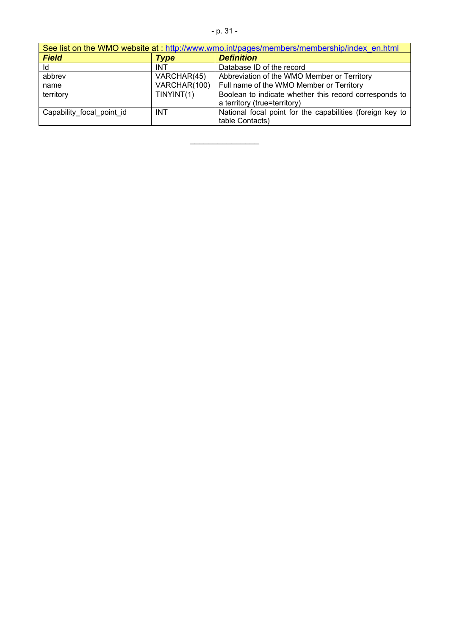| See list on the WMO website at: http://www.wmo.int/pages/members/membership/index en.html |              |                                                           |
|-------------------------------------------------------------------------------------------|--------------|-----------------------------------------------------------|
| <b>Field</b>                                                                              | Type         | <b>Definition</b>                                         |
| ld                                                                                        | <b>INT</b>   | Database ID of the record                                 |
| abbrev                                                                                    | VARCHAR(45)  | Abbreviation of the WMO Member or Territory               |
| name                                                                                      | VARCHAR(100) | Full name of the WMO Member or Territory                  |
| territory                                                                                 | TINYINT(1)   | Boolean to indicate whether this record corresponds to    |
|                                                                                           |              | a territory (true=territory)                              |
| Capability_focal_point_id                                                                 | <b>INT</b>   | National focal point for the capabilities (foreign key to |
|                                                                                           |              | table Contacts)                                           |

 $\mathcal{L}_\text{max}$  , where  $\mathcal{L}_\text{max}$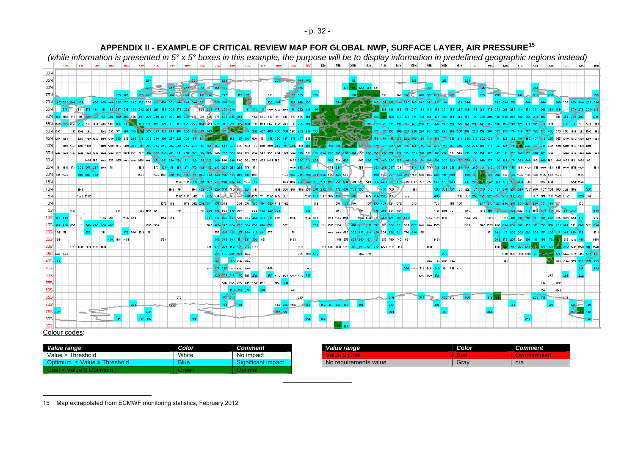|             |              |         |                   |                                         |          |               |                   |      |                                                                            |           |           | APPENDIA II - EAAMPLE OF GRITIGAL REVIEW MAP FOR GLODAL NWP, SURFAGE LATER, AIR PRESSURE<br>(while information is presented in $5^{\circ}$ x $5^{\circ}$ boxes in this example, the purpose will be to display information in predefined geographic regions instead) |                                  |              |                                |     |                                                      |                      |                |             |          |                |                |                                                    |          |                                                   |                      |                                            |                                                                                              |               |                                   |          |         |           |                                   |          |      |  |                                                                                                                                                                  |           |      |                |               |                                             |  |
|-------------|--------------|---------|-------------------|-----------------------------------------|----------|---------------|-------------------|------|----------------------------------------------------------------------------|-----------|-----------|----------------------------------------------------------------------------------------------------------------------------------------------------------------------------------------------------------------------------------------------------------------------|----------------------------------|--------------|--------------------------------|-----|------------------------------------------------------|----------------------|----------------|-------------|----------|----------------|----------------|----------------------------------------------------|----------|---------------------------------------------------|----------------------|--------------------------------------------|----------------------------------------------------------------------------------------------|---------------|-----------------------------------|----------|---------|-----------|-----------------------------------|----------|------|--|------------------------------------------------------------------------------------------------------------------------------------------------------------------|-----------|------|----------------|---------------|---------------------------------------------|--|
|             |              |         |                   |                                         |          |               |                   |      |                                                                            |           |           |                                                                                                                                                                                                                                                                      |                                  |              |                                | dow |                                                      |                      | 200            |             |          | 0E             |                | 10E                                                | 20E      | 30E                                               | 40E                  | 50E                                        | 60E                                                                                          | 70E           | 80E                               |          | 90E     | 100E      |                                   |          | 120E |  |                                                                                                                                                                  |           |      |                |               |                                             |  |
| 90N         |              |         |                   |                                         |          |               |                   |      |                                                                            |           |           |                                                                                                                                                                                                                                                                      |                                  |              |                                |     |                                                      |                      |                |             |          |                |                |                                                    |          |                                                   |                      |                                            |                                                                                              |               |                                   |          |         |           |                                   |          |      |  |                                                                                                                                                                  |           |      |                |               |                                             |  |
| 85N         |              |         |                   |                                         |          |               |                   |      |                                                                            |           |           |                                                                                                                                                                                                                                                                      |                                  |              |                                |     |                                                      | <b>State College</b> |                |             |          |                |                |                                                    |          |                                                   |                      |                                            | 215                                                                                          |               |                                   |          |         |           |                                   |          |      |  |                                                                                                                                                                  |           |      |                |               |                                             |  |
| 80N         |              |         |                   |                                         |          |               |                   |      |                                                                            |           |           |                                                                                                                                                                                                                                                                      |                                  |              |                                |     |                                                      |                      |                |             |          |                |                |                                                    |          | 127 86 422 143 731                                |                      |                                            |                                                                                              |               |                                   |          |         |           |                                   |          |      |  |                                                                                                                                                                  |           |      |                |               |                                             |  |
| 75N         |              |         |                   |                                         |          |               |                   |      |                                                                            |           |           | <b>245</b> 2451 431 245 249                                                                                                                                                                                                                                          |                                  |              | <b>157 8455</b>                |     | 610                                                  |                      |                |             |          |                |                |                                                    |          |                                                   | 500                  |                                            | 862 352 305 305 336 34                                                                       |               |                                   |          |         |           |                                   |          |      |  |                                                                                                                                                                  |           |      |                |               |                                             |  |
|             |              |         |                   |                                         |          |               |                   |      | 70N 33 268 344 344 486 486 344 229 270 243 172 562 281 486 308 344 344 287 |           |           |                                                                                                                                                                                                                                                                      | <b>CPSRS</b>                     |              |                                |     | $133 - 264$                                          |                      | 121 148 160    |             |          |                |                | 243                                                |          |                                                   |                      |                                            | 48 43 149 154 142 243 243 199 243 243 244                                                    |               |                                   |          |         |           |                                   |          |      |  |                                                                                                                                                                  |           |      |                |               | 199 562 199 344 251 34                      |  |
|             |              |         |                   |                                         |          |               |                   |      |                                                                            |           |           | 534 378 478 161 198 267 218 378 202 239 218 378 308 378 396 534 306 376 356 286                                                                                                                                                                                      |                                  |              |                                |     | 181 131 135 1068 1068 1068 156 252 338 186           |                      |                |             |          |                |                |                                                    |          |                                                   |                      |                                            |                                                                                              |               |                                   |          |         |           |                                   |          |      |  |                                                                                                                                                                  |           |      |                |               |                                             |  |
| 60N         |              |         |                   |                                         |          |               |                   |      |                                                                            |           |           | 1152 815 315 200 201 157 407 192 364 576 407 226 240 258 235 407 407 526 576 576 407 230 364 1152 665 815 815 815 815 816 816                                                                                                                                        |                                  |              |                                |     |                                                      |                      |                |             |          | <b>ALCOHOL</b> |                |                                                    |          |                                                   |                      |                                            | 135 121 116                                                                                  |               |                                   |          |         |           |                                   |          |      |  |                                                                                                                                                                  |           |      | 815 407 248 40 |               |                                             |  |
|             |              |         |                   | 236 708 708 708 549 164                 |          |               |                   |      |                                                                            |           |           | 108 139 123 121 131 146 220 256 354 613 281 340 214 155 409 1227 1227 867 867 708 708 232 224 324 33                                                                                                                                                                 |                                  |              |                                |     |                                                      |                      |                |             |          |                |                |                                                    | $39 - 5$ |                                                   |                      |                                            | 128 128 129 141 112 115 145 250 153 153 131 118 153 164 250 145 145 128                      |               |                                   |          |         |           |                                   |          |      |  | 136 7149 125 164 185 88 1227                                                                                                                                     |           |      |                |               |                                             |  |
|             |              |         | 1292 1292 1292    |                                         |          |               |                   |      |                                                                            |           |           | 1242 1242 314 178 153 134 215 323 187 244 204 264 264 173 143 73 144 144 154 282 457 488 488 488 528 232 215 156                                                                                                                                                     |                                  |              |                                |     |                                                      |                      |                |             |          |                |                | <b>A MARK</b>                                      |          |                                                   |                      |                                            | 1. 131 132 153 202 254 228 264 264 323 228 207 207 187 228 152 204 189 173 176 148           |               |                                   |          |         |           |                                   |          |      |  |                                                                                                                                                                  |           |      |                |               | 117 162 183 409 578 746 1292 1292 1292 1292 |  |
|             | 45N 350 1350 |         |                   |                                         |          |               |                   |      | 1350 1350 1350 1350 1350 270 355 246 38 338 330 330                        |           |           | $302 - 11 = 24$                                                                                                                                                                                                                                                      |                                  |              |                                |     | 94 78 166 165 199 604 551 477 390 477 477 477 551 15 |                      |                |             |          |                |                |                                                    |          |                                                   |                      |                                            | 178-159 18 10 200-215 180                                                                    |               |                                   |          |         |           |                                   |          |      |  | 144-138 170-219 216 288 219 202-131 154 127 142 109 140 407 146 235 355 1350 1350                                                                                |           |      |                |               |                                             |  |
|             |              |         |                   |                                         |          |               |                   |      |                                                                            |           |           |                                                                                                                                                                                                                                                                      |                                  |              |                                |     |                                                      |                      |                |             |          |                |                |                                                    |          |                                                   |                      |                                            |                                                                                              |               |                                   |          |         |           |                                   |          |      |  | 237 38 216 809 990 1400                                                                                                                                          |           |      |                |               |                                             |  |
|             |              |         |                   |                                         |          |               |                   |      |                                                                            |           |           |                                                                                                                                                                                                                                                                      |                                  |              |                                |     |                                                      |                      | 1481 280 25 20 |             |          |                |                |                                                    |          |                                                   |                      |                                            |                                                                                              |               |                                   |          |         |           |                                   |          |      |  | 605 266 175 340 280 185 164 189 170 180 202 200 223 487 223 210 146 157 136 127 170 323 343 1481 468 1481 1481 1481 1481 1481 1481                               |           |      |                |               |                                             |  |
| 30N         |              |         |                   |                                         |          |               |                   |      | 1481 1481 1047 855 855 1047 1047 1481 1047 233 231 250 160                 |           |           | 111 128 138 125 266 740 230 740 662 560 855 1481 1481                                                                                                                                                                                                                |                                  |              |                                |     |                                                      |                      |                |             |          |                |                | $302$ 524 427                                      |          |                                                   |                      |                                            |                                                                                              |               |                                   |          |         |           |                                   |          |      |  | 756 - 000 251 267 534 - 134 419 756 218 239 271 192 114 200 34 100 100 197 485 1511 1009 1511 1009 573 617 1009 1511 1009                                        |           |      |                |               |                                             |  |
|             |              |         |                   | 25N 511 1511 1511 302 662 267 1069 1511 |          |               |                   | 1511 | 873                                                                        |           |           | 330 185 178 271 252 122 35 236 225 281 286 756 1511<br>535 535 372 469 200 211 263 372 243 166 113 296 313 1535                                                                                                                                                      |                                  |              |                                |     |                                                      |                      | 1069 356       |             |          |                |                | 1535-372 240-290 384 362 580 426 580               |          |                                                   |                      |                                            | 463 560 201 843 267 768 1086 1086 243 195 249                                                |               |                                   |          |         | 463 Ab 17 |                                   |          |      |  | 46 252 512 108 1535 1086 1535 1535 687 1535                                                                                                                      |           |      |                |               |                                             |  |
|             | 20N 535 1535 |         |                   | 313 307 35:                             |          |               |                   | 1535 |                                                                            |           |           |                                                                                                                                                                                                                                                                      |                                  |              |                                |     |                                                      |                      |                |             |          |                |                |                                                    |          |                                                   |                      |                                            | 1099 837 252 240 388 171 223 252 234 549 635 549 366 448 388 431 549 837 777 777 347 179 240 |               |                                   |          |         |           | 415 24 5 267 324 431 268 208 1099 |          |      |  |                                                                                                                                                                  |           |      |                |               | 1535                                        |  |
| 15N         |              |         |                   |                                         |          |               |                   |      |                                                                            |           |           | 1554 587 333 331 377 228 490 224 448 1554 317<br>1544 452 350 220 231 700 683 231 1544                                                                                                                                                                               |                                  |              |                                |     |                                                      |                      |                |             |          |                |                | 1544 304 1544 1107 554 281 292 114 472 454 404 353 |          |                                                   | 434 700              |                                            | 1566                                                                                         |               | 380 334 37 554 522                |          |         |           |                                   |          |      |  |                                                                                                                                                                  | $837$ 634 |      |                | 1554 1554     |                                             |  |
| 10N<br>5N   |              |         | 1566<br>1572 1572 |                                         |          |               |                   |      |                                                                            |           | 1566 1566 | 572 307 642 703 262 534 36 0 366 0 372 111 572 572 307                                                                                                                                                                                                               |                                  |              |                                |     |                                                      |                      |                |             |          |                |                | 1572 487 907 907 454 --- 377                       |          |                                                   | 1572 436 278 134     |                                            | 1572                                                                                         |               |                                   |          | 111 307 | 250       |                                   |          |      |  | 167 330 313 404 258 257 248 783 700 1107 304 700 532 1107<br>307   111   111   102   103   128   129   129   129   129   129   129   129   129   129   129   129 |           |      |                |               | 328 534                                     |  |
| 0N          |              |         |                   |                                         |          |               |                   |      |                                                                            | 1572 1572 |           | 1572 642 292 214 454 0542                                                                                                                                                                                                                                            |                                  |              |                                |     | 594 556 370 314 420 642 1572                         |                      |                |             | 1572     |                |                | 556 870 556                                        |          |                                                   | 307 258 454 524 1572 |                                            | 556                                                                                          |               | 786                               | 1111 307 |         |           |                                   |          |      |  | 257 ETO 021 254 201 060 232 258 DOL 370 324                                                                                                                      |           |      |                |               |                                             |  |
|             |              | 1566    |                   |                                         |          | 554           |                   |      | 1566 1566 1566                                                             |           |           |                                                                                                                                                                                                                                                                      | 1107 236 435 783 435 304         |              |                                |     | 522 452 320 334                                      |                      |                |             |          |                | 1566           |                                                    |          |                                                   | 265 554 1566         |                                            |                                                                                              |               | 1566 1107 1107                    |          | 1566    |           |                                   |          |      |  | 1544 170 137 049 054 522 418 154 057 021 783 331 31                                                                                                              |           |      |                |               |                                             |  |
| $10S$ $bss$ |              |         |                   |                                         | 1554 518 |               | 1554 1554         |      |                                                                            | 1554 1554 |           |                                                                                                                                                                                                                                                                      | 341 377 275 349 518 634 448 339  |              |                                |     | 897                                                  |                      | 1554           |             | 1554 897 |                |                | 1554 1554 1554                                     |          |                                                   |                      | 1504 634 777 468 415 28 468                |                                                                                              |               | 1554 1099 1099                    |          |         | 1554 518  |                                   |          |      |  | 1099 431 218 119 187 191 266 635 1099 1554 415                                                                                                                   |           |      |                |               |                                             |  |
|             |              | 126 887 |                   | 443 443 384 36                          |          |               |                   |      | 1535 1535                                                                  |           |           |                                                                                                                                                                                                                                                                      | 1535 426 249 224 230 384 267 313 |              |                                |     |                                                      | 887                  |                |             |          |                | 1086 1535 1535 |                                                    |          |                                                   |                      |                                            | 1086 410 372 507 252 512 362 301 627 372 1086 1086 1535                                      |               |                                   |          | 1535    |           | 1535 1535 768                     |          |      |  | 132 188 137 252                                                                                                                                                  |           |      |                |               | 136 231 307 512 260 512 240                 |  |
|             | 20S 34 571   |         |                   |                                         | 571      |               | 478 504 1511 1511 |      |                                                                            |           |           |                                                                                                                                                                                                                                                                      |                                  |              | 756 28 223 135 286 413 211 873 |     |                                                      |                      | 1511           |             |          |                |                |                                                    |          |                                                   |                      |                                            | 1069 1069 873 302 413 216 230 534 456 281 756 286 1511                                       |               |                                   |          |         |           |                                   | 1511 245 |      |  | 175 239 308 223 239 157                                                                                                                                          |           |      |                |               |                                             |  |
| 25S   324   |              |         |                   |                                         |          | 494 1481 1481 |                   |      |                                                                            | 524       |           |                                                                                                                                                                                                                                                                      |                                  |              | 340 549 309 151 247 302 1481   |     |                                                      |                      | 1481           |             |          |                |                |                                                    |          |                                                   |                      | 1481 855 286 243 157, 151 855 740 740 1481 |                                                                                              |               | 1481                              |          |         |           |                                   |          |      |  | 345 173 205 524 396 185 194 172                                                                                                                                  |           |      | 855 1047       |               |                                             |  |
|             |              |         |                   | 1444 1444 1444 1444 1444                |          |               |                   |      |                                                                            |           |           |                                                                                                                                                                                                                                                                      | 511 273 234 162 174 273 1444     |              |                                |     |                                                      |                      |                | 1444        |          |                |                |                                                    |          | 1444 1444 1444 1444 17 130 185 373 1021 1444 1444 |                      |                                            |                                                                                              | 1444          |                                   |          |         |           |                                   |          |      |  | 175 226 244 22 139 103 67                                                                                                                                        |           |      |                | 340 1021 1021 | 315 1021                                    |  |
|             | 35S 400 1400 |         |                   |                                         |          |               |                   |      |                                                                            |           |           |                                                                                                                                                                                                                                                                      |                                  |              | 35 435 286 244 1400            |     |                                                      |                      |                | 809 990 495 |          |                |                |                                                    |          | 1400 1400                                         |                      |                                            |                                                                                              |               |                                   |          |         |           |                                   |          |      |  | 330 330 330 330 211 24-45 174 1400 1400 1400                                                                                                                     |           |      |                |               |                                             |  |
| 40S 127     |              |         |                   |                                         |          |               |                   |      |                                                                            |           |           |                                                                                                                                                                                                                                                                      |                                  |              | 1350 1350                      |     |                                                      |                      |                |             |          |                |                |                                                    |          |                                                   |                      |                                            |                                                                                              |               | 1350 1350 1350 1350               |          |         |           |                                   |          |      |  |                                                                                                                                                                  |           |      | 1350 1350 355  |               |                                             |  |
| 45S         |              |         |                   |                                         |          |               |                   |      |                                                                            |           |           |                                                                                                                                                                                                                                                                      | 1292 235 358 1292 1292 1292      |              |                                |     | 646                                                  |                      |                | 1292        |          |                |                |                                                    |          |                                                   |                      |                                            |                                                                                              |               | 276 1292 314 746 243 314 314 1292 |          |         |           |                                   |          |      |  |                                                                                                                                                                  |           |      |                |               |                                             |  |
| <b>50S</b>  |              |         |                   |                                         |          |               |                   |      |                                                                            |           |           |                                                                                                                                                                                                                                                                      |                                  |              | 2021238 256 135 708 409        |     | 192 1227 1227 1227 1227 317                          |                      |                |             |          |                |                |                                                    |          |                                                   |                      |                                            |                                                                                              | 1227 1227 179 |                                   |          |         |           |                                   |          |      |  |                                                                                                                                                                  | 867       |      |                |               |                                             |  |
| <b>55S</b>  |              |         |                   |                                         |          |               |                   |      |                                                                            |           |           |                                                                                                                                                                                                                                                                      |                                  |              | 576 665 815 815 1152 1152      |     |                                                      | 1152 320             |                |             |          |                |                |                                                    |          |                                                   |                      |                                            |                                                                                              |               |                                   |          |         |           |                                   |          |      |  |                                                                                                                                                                  | 815       | 1152 |                |               |                                             |  |
| 60S         |              |         |                   |                                         |          |               |                   |      |                                                                            |           |           |                                                                                                                                                                                                                                                                      |                                  | $38 - 81$    |                                |     |                                                      |                      | 1068           |             |          |                |                |                                                    |          |                                                   |                      |                                            |                                                                                              |               |                                   |          |         |           |                                   |          |      |  |                                                                                                                                                                  | 755       |      |                |               |                                             |  |
| <b>65S</b>  |              |         |                   |                                         |          |               |                   |      |                                                                            |           | 973       |                                                                                                                                                                                                                                                                      |                                  | <b>Sexus</b> |                                |     |                                                      |                      |                | 373         |          |                |                |                                                    |          |                                                   |                      |                                            |                                                                                              |               |                                   | 200 373  | 486     |           | 212                               |          |      |  | 293 191                                                                                                                                                          |           |      |                |               |                                             |  |
| 70S         |              |         |                   |                                         |          |               |                   |      |                                                                            |           |           |                                                                                                                                                                                                                                                                      |                                  |              |                                |     |                                                      | 862 352 862          |                |             |          |                |                | 163 157 305 127                                    |          |                                                   |                      |                                            |                                                                                              |               |                                   |          |         |           |                                   |          |      |  |                                                                                                                                                                  |           |      |                |               |                                             |  |
| <b>75S</b>  |              |         |                   |                                         |          |               |                   |      |                                                                            |           |           |                                                                                                                                                                                                                                                                      |                                  |              |                                |     | $221 - 12$                                           |                      |                |             |          |                |                |                                                    |          |                                                   |                      |                                            |                                                                                              |               |                                   |          |         |           |                                   |          |      |  |                                                                                                                                                                  |           |      |                |               |                                             |  |
|             |              |         |                   |                                         |          |               |                   |      |                                                                            |           |           |                                                                                                                                                                                                                                                                      |                                  |              |                                |     |                                                      |                      |                |             |          |                |                |                                                    |          |                                                   |                      |                                            |                                                                                              |               |                                   |          |         |           |                                   |          |      |  |                                                                                                                                                                  |           |      |                |               |                                             |  |
|             |              |         |                   |                                         |          |               |                   |      |                                                                            |           |           |                                                                                                                                                                                                                                                                      |                                  |              |                                |     |                                                      |                      |                |             |          |                |                |                                                    |          |                                                   |                      |                                            |                                                                                              |               |                                   |          |         |           |                                   |          |      |  |                                                                                                                                                                  |           |      |                |               |                                             |  |

#### Colour codes:

| 1/2<br>ua ranga<br>value range | Color | Comment                         | Value range           | Color       | Comment |
|--------------------------------|-------|---------------------------------|-----------------------|-------------|---------|
| >> Threshold<br>Value -        | White | impact ו<br>טוי                 | uiuu -<br>$\sim$ uar  | <b>Red.</b> | $ -$    |
| Optim.<br>hreshold.<br>Value:  | Blue  | ≩iαnificant⊹<br>impact<br>чыань | No requirements value | Grav        | n/a     |
|                                | שוטע. |                                 |                       |             |         |

# **APPENDIX II - EXAMPLE OF CRITICAL REVIEW MAP FOR GLOBAL NWP, SURFACE LAYER, AIR PRESSURE[15](#page-31-0)**

<span id="page-31-0"></span><sup>15</sup> Map extrapolated from ECMWF monitoring statistics, February 2012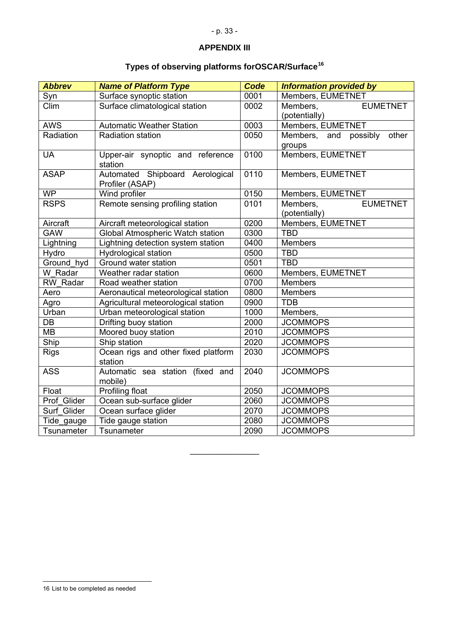# **APPENDIX III**

# **Types of observing platforms forOSCAR/Surface[16](#page-32-0)**

<span id="page-32-0"></span>

| <b>Abbrev</b> | <b>Name of Platform Type</b>                       | <b>Code</b> | <b>Information provided by</b> |
|---------------|----------------------------------------------------|-------------|--------------------------------|
| Syn           | Surface synoptic station                           | 0001        | Members, EUMETNET              |
| Clim          | Surface climatological station                     | 0002        | <b>EUMETNET</b><br>Members,    |
|               |                                                    |             | (potentially)                  |
| <b>AWS</b>    | <b>Automatic Weather Station</b>                   | 0003        | Members, EUMETNET              |
| Radiation     | Radiation station                                  | 0050        | Members, and possibly<br>other |
|               |                                                    |             | groups                         |
| <b>UA</b>     | Upper-air synoptic and reference<br>station        | 0100        | Members, EUMETNET              |
| <b>ASAP</b>   | Automated Shipboard Aerological<br>Profiler (ASAP) | 0110        | Members, EUMETNET              |
| <b>WP</b>     | Wind profiler                                      | 0150        | Members, EUMETNET              |
| <b>RSPS</b>   | Remote sensing profiling station                   | 0101        | <b>EUMETNET</b><br>Members,    |
|               |                                                    |             | (potentially)                  |
| Aircraft      | Aircraft meteorological station                    | 0200        | Members, EUMETNET              |
| <b>GAW</b>    | Global Atmospheric Watch station                   | 0300        | <b>TBD</b>                     |
| Lightning     | Lightning detection system station                 | 0400        | <b>Members</b>                 |
| Hydro         | <b>Hydrological station</b>                        | 0500        | <b>TBD</b>                     |
| Ground_hyd    | Ground water station                               | 0501        | <b>TBD</b>                     |
| W Radar       | Weather radar station                              | 0600        | Members, EUMETNET              |
| RW Radar      | Road weather station                               | 0700        | <b>Members</b>                 |
| Aero          | Aeronautical meteorological station                | 0800        | Members                        |
| Agro          | Agricultural meteorological station                | 0900        | <b>TDB</b>                     |
| Urban         | Urban meteorological station                       | 1000        | Members,                       |
| DB            | Drifting buoy station                              | 2000        | <b>JCOMMOPS</b>                |
| <b>MB</b>     | Moored buoy station                                | 2010        | <b>JCOMMOPS</b>                |
| Ship          | Ship station                                       | 2020        | <b>JCOMMOPS</b>                |
| <b>Rigs</b>   | Ocean rigs and other fixed platform                | 2030        | <b>JCOMMOPS</b>                |
|               | station                                            |             |                                |
| <b>ASS</b>    | Automatic sea station (fixed and                   | 2040        | <b>JCOMMOPS</b>                |
|               | mobile)                                            |             |                                |
| Float         | Profiling float                                    | 2050        | <b>JCOMMOPS</b>                |
| Prof Glider   | Ocean sub-surface glider                           | 2060        | <b>JCOMMOPS</b>                |
| Surf Glider   | Ocean surface glider                               | 2070        | <b>JCOMMOPS</b>                |
| Tide_gauge    | Tide gauge station                                 | 2080        | <b>JCOMMOPS</b>                |
| Tsunameter    | Tsunameter                                         | 2090        | <b>JCOMMOPS</b>                |

 $\mathcal{L}_\text{max}$  , where  $\mathcal{L}_\text{max}$